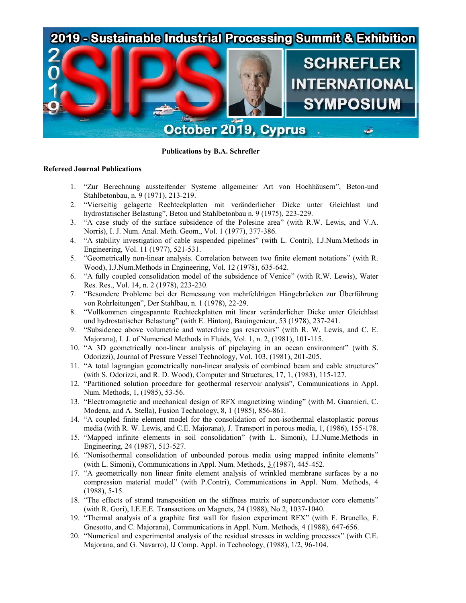

**Publications by B.A. Schrefler**

# **Refereed Journal Publications**

- 1. "Zur Berechnung aussteifender Systeme allgemeiner Art von Hochhäusern", Beton-und Stahlbetonbau, n. 9 (1971), 213-219.
- 2. "Vierseitig gelagerte Rechteckplatten mit veränderlicher Dicke unter Gleichlast und hydrostatischer Belastung", Beton und Stahlbetonbau n. 9 (1975), 223-229.
- 3. "A case study of the surface subsidence of the Polesine area" (with R.W. Lewis, and V.A. Norris), I. J. Num. Anal. Meth. Geom., Vol. 1 (1977), 377-386.
- 4. "A stability investigation of cable suspended pipelines" (with L. Contri), I.J.Num.Methods in Engineering, Vol. 11 (1977), 521-531.
- 5. "Geometrically non-linear analysis. Correlation between two finite element notations" (with R. Wood), I.J.Num.Methods in Engineering, Vol. 12 (1978), 635-642.
- 6. "A fully coupled consolidation model of the subsidence of Venice" (with R.W. Lewis), Water Res. Res., Vol. 14, n. 2 (1978), 223-230.
- 7. "Besondere Probleme bei der Bemessung von mehrfeldrigen Hängebrücken zur Überführung von Rohrleitungen", Der Stahlbau, n. 1 (1978), 22-29.
- 8. "Vollkommen eingespannte Rechteckplatten mit linear veränderlicher Dicke unter Gleichlast und hydrostatischer Belastung" (with E. Hinton), Bauingenieur, 53 (1978), 237-241.
- 9. "Subsidence above volumetric and waterdrive gas reservoirs" (with R. W. Lewis, and C. E. Majorana), I. J. of Numerical Methods in Fluids, Vol. 1, n. 2, (1981), 101-115.
- 10. "A 3D geometrically non-linear analysis of pipelaying in an ocean environment" (with S. Odorizzi), Journal of Pressure Vessel Technology, Vol. 103, (1981), 201-205.
- 11. "A total lagrangian geometrically non-linear analysis of combined beam and cable structures" (with S. Odorizzi, and R. D. Wood), Computer and Structures, 17, 1, (1983), 115-127.
- 12. "Partitioned solution procedure for geothermal reservoir analysis", Communications in Appl. Num. Methods, 1, (1985), 53-56.
- 13. "Electromagnetic and mechanical design of RFX magnetizing winding" (with M. Guarnieri, C. Modena, and A. Stella), Fusion Technology, 8, 1 (1985), 856-861.
- 14. "A coupled finite element model for the consolidation of non-isothermal elastoplastic porous media (with R. W. Lewis, and C.E. Majorana), J. Transport in porous media, 1, (1986), 155-178.
- 15. "Mapped infinite elements in soil consolidation" (with L. Simoni), I.J.Nume.Methods in Engineering, 24 (1987), 513-527.
- 16. "Nonisothermal consolidation of unbounded porous media using mapped infinite elements" (with L. Simoni), Communications in Appl. Num. Methods, 3 (1987), 445-452.
- 17. "A geometrically non linear finite element analysis of wrinkled membrane surfaces by a no compression material model" (with P.Contri), Communications in Appl. Num. Methods, 4 (1988), 5-15.
- 18. "The effects of strand transposition on the stiffness matrix of superconductor core elements" (with R. Gori), I.E.E.E. Transactions on Magnets, 24 (1988), No 2, 1037-1040.
- 19. "Thermal analysis of a graphite first wall for fusion experiment RFX" (with F. Brunello, F. Gnesotto, and C. Majorana), Communications in Appl. Num. Methods, 4 (1988), 647-656.
- 20. "Numerical and experimental analysis of the residual stresses in welding processes" (with C.E. Majorana, and G. Navarro), IJ Comp. Appl. in Technology, (1988), 1/2, 96-104.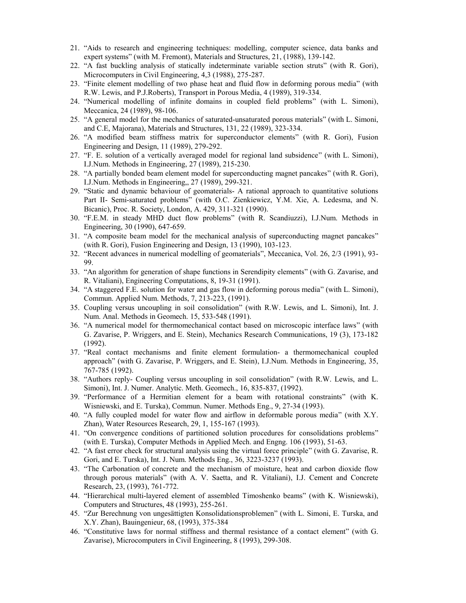- 21. "Aids to research and engineering techniques: modelling, computer science, data banks and expert systems" (with M. Fremont), Materials and Structures, 21, (1988), 139-142.
- 22. "A fast buckling analysis of statically indeterminate variable section struts" (with R. Gori), Microcomputers in Civil Engineering, 4,3 (1988), 275-287.
- 23. "Finite element modelling of two phase heat and fluid flow in deforming porous media" (with R.W. Lewis, and P.J.Roberts), Transport in Porous Media, 4 (1989), 319-334.
- 24. "Numerical modelling of infinite domains in coupled field problems" (with L. Simoni), Meccanica, 24 (1989), 98-106.
- 25. "A general model for the mechanics of saturated-unsaturated porous materials" (with L. Simoni, and C.E, Majorana), Materials and Structures, 131, 22 (1989), 323-334.
- 26. "A modified beam stiffness matrix for superconductor elements" (with R. Gori), Fusion Engineering and Design, 11 (1989), 279-292.
- 27. "F. E. solution of a vertically averaged model for regional land subsidence" (with L. Simoni), I.J.Num. Methods in Engineering, 27 (1989), 215-230.
- 28. "A partially bonded beam element model for superconducting magnet pancakes" (with R. Gori), I.J.Num. Methods in Engineering,, 27 (1989), 299-321.
- 29. "Static and dynamic behaviour of geomaterials- A rational approach to quantitative solutions Part II- Semi-saturated problems" (with O.C. Zienkiewicz, Y.M. Xie, A. Ledesma, and N. Bicanic), Proc. R. Society, London, A. 429, 311-321 (1990).
- 30. "F.E.M. in steady MHD duct flow problems" (with R. Scandiuzzi), I.J.Num. Methods in Engineering, 30 (1990), 647-659.
- 31. "A composite beam model for the mechanical analysis of superconducting magnet pancakes" (with R. Gori), Fusion Engineering and Design, 13 (1990), 103-123.
- 32. "Recent advances in numerical modelling of geomaterials", Meccanica, Vol. 26, 2/3 (1991), 93- 99.
- 33. "An algorithm for generation of shape functions in Serendipity elements" (with G. Zavarise, and R. Vitaliani), Engineering Computations, 8, 19-31 (1991).
- 34. "A staggered F.E. solution for water and gas flow in deforming porous media" (with L. Simoni), Commun. Applied Num. Methods, 7, 213-223, (1991).
- 35. Coupling versus uncoupling in soil consolidation" (with R.W. Lewis, and L. Simoni), Int. J. Num. Anal. Methods in Geomech. 15, 533-548 (1991).
- 36. "A numerical model for thermomechanical contact based on microscopic interface laws" (with G. Zavarise, P. Wriggers, and E. Stein), Mechanics Research Communications, 19 (3), 173-182 (1992).
- 37. "Real contact mechanisms and finite element formulation- a thermomechanical coupled approach" (with G. Zavarise, P. Wriggers, and E. Stein), I.J.Num. Methods in Engineering, 35, 767-785 (1992).
- 38. "Authors reply- Coupling versus uncoupling in soil consolidation" (with R.W. Lewis, and L. Simoni), Int. J. Numer. Analytic. Meth. Geomech., 16, 835-837, (1992).
- 39. "Performance of a Hermitian element for a beam with rotational constraints" (with K. Wisniewski, and E. Turska), Commun. Numer. Methods Eng., 9, 27-34 (1993).
- 40. "A fully coupled model for water flow and airflow in deformable porous media" (with X.Y. Zhan), Water Resources Research, 29, 1, 155-167 (1993).
- 41. "On convergence conditions of partitioned solution procedures for consolidations problems" (with E. Turska), Computer Methods in Applied Mech. and Engng. 106 (1993), 51-63.
- 42. "A fast error check for structural analysis using the virtual force principle" (with G. Zavarise, R. Gori, and E. Turska), Int. J. Num. Methods Eng., 36, 3223-3237 (1993).
- 43. "The Carbonation of concrete and the mechanism of moisture, heat and carbon dioxide flow through porous materials" (with A. V. Saetta, and R. Vitaliani), I.J. Cement and Concrete Research, 23, (1993), 761-772.
- 44. "Hierarchical multi-layered element of assembled Timoshenko beams" (with K. Wisniewski), Computers and Structures, 48 (1993), 255-261.
- 45. "Zur Berechnung von ungesättigten Konsolidationsproblemen" (with L. Simoni, E. Turska, and X.Y. Zhan), Bauingenieur, 68, (1993), 375-384
- 46. "Constitutive laws for normal stiffness and thermal resistance of a contact element" (with G. Zavarise), Microcomputers in Civil Engineering, 8 (1993), 299-308.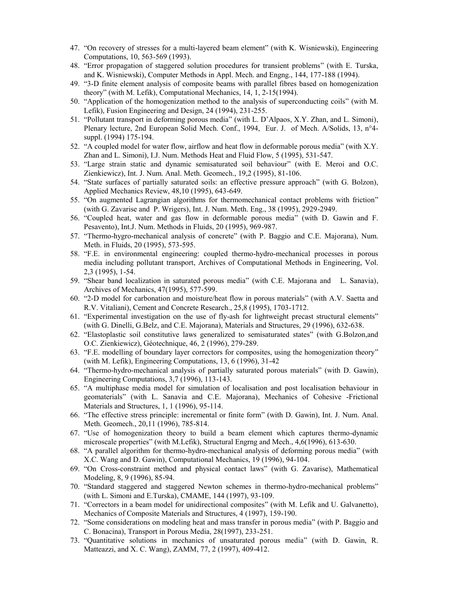- 47. "On recovery of stresses for a multi-layered beam element" (with K. Wisniewski), Engineering Computations, 10, 563-569 (1993).
- 48. "Error propagation of staggered solution procedures for transient problems" (with E. Turska, and K. Wisniewski), Computer Methods in Appl. Mech. and Engng., 144, 177-188 (1994).
- 49. "3-D finite element analysis of composite beams with parallel fibres based on homogenization theory" (with M. Lefik), Computational Mechanics, 14, 1, 2-15(1994).
- 50. "Application of the homogenization method to the analysis of superconducting coils" (with M. Lefik), Fusion Engineering and Design, 24 (1994), 231-255.
- 51. "Pollutant transport in deforming porous media" (with L. D'Alpaos, X.Y. Zhan, and L. Simoni), Plenary lecture, 2nd European Solid Mech. Conf., 1994, Eur. J. of Mech. A/Solids, 13, n°4 suppl. (1994) 175-194.
- 52. "A coupled model for water flow, airflow and heat flow in deformable porous media" (with X.Y. Zhan and L. Simoni), I.J. Num. Methods Heat and Fluid Flow, 5 (1995), 531-547.
- 53. "Large strain static and dynamic semisaturated soil behaviour" (with E. Meroi and O.C. Zienkiewicz), Int. J. Num. Anal. Meth. Geomech., 19,2 (1995), 81-106.
- 54. "State surfaces of partially saturated soils: an effective pressure approach" (with G. Bolzon), Applied Mechanics Review, 48,10 (1995), 643-649.
- 55. "On augmented Lagrangian algorithms for thermomechanical contact problems with friction" (with G. Zavarise and P. Wrigers), Int. J. Num. Meth. Eng., 38 (1995), 2929-2949.
- 56. "Coupled heat, water and gas flow in deformable porous media" (with D. Gawin and F. Pesavento), Int.J. Num. Methods in Fluids, 20 (1995), 969-987.
- 57. "Thermo-hygro-mechanical analysis of concrete" (with P. Baggio and C.E. Majorana), Num. Meth. in Fluids, 20 (1995), 573-595.
- 58. "F.E. in environmental engineering: coupled thermo-hydro-mechanical processes in porous media including pollutant transport, Archives of Computational Methods in Engineering, Vol. 2,3 (1995), 1-54.
- 59. "Shear band localization in saturated porous media" (with C.E. Majorana and L. Sanavia), Archives of Mechanics, 47(1995), 577-599.
- 60. "2-D model for carbonation and moisture/heat flow in porous materials" (with A.V. Saetta and R.V. Vitaliani), Cement and Concrete Research., 25,8 (1995), 1703-1712.
- 61. "Experimental investigation on the use of fly-ash for lightweight precast structural elements" (with G. Dinelli, G.Belz, and C.E. Majorana), Materials and Structures, 29 (1996), 632-638.
- 62. "Elastoplastic soil constitutive laws generalized to semisaturated states" (with G.Bolzon,and O.C. Zienkiewicz), Géotechnique, 46, 2 (1996), 279-289.
- 63. "F.E. modelling of boundary layer correctors for composites, using the homogenization theory" (with M. Lefik), Engineering Computations, 13, 6 (1996), 31-42
- 64. "Thermo-hydro-mechanical analysis of partially saturated porous materials" (with D. Gawin), Engineering Computations, 3,7 (1996), 113-143.
- 65. "A multiphase media model for simulation of localisation and post localisation behaviour in geomaterials" (with L. Sanavia and C.E. Majorana), Mechanics of Cohesive -Frictional Materials and Structures, 1, 1 (1996), 95-114.
- 66. "The effective stress principle: incremental or finite form" (with D. Gawin), Int. J. Num. Anal. Meth. Geomech., 20,11 (1996), 785-814.
- 67. "Use of homogenization theory to build a beam element which captures thermo-dynamic microscale properties" (with M.Lefik), Structural Engrng and Mech., 4,6(1996), 613-630.
- 68. "A parallel algorithm for thermo-hydro-mechanical analysis of deforming porous media" (with X.C. Wang and D. Gawin), Computational Mechanics, 19 (1996), 94-104.
- 69. "On Cross-constraint method and physical contact laws" (with G. Zavarise), Mathematical Modeling, 8, 9 (1996), 85-94.
- 70. "Standard staggered and staggered Newton schemes in thermo-hydro-mechanical problems" (with L. Simoni and E.Turska), CMAME, 144 (1997), 93-109.
- 71. "Correctors in a beam model for unidirectional composites" (with M. Lefik and U. Galvanetto), Mechanics of Composite Materials and Structures, 4 (1997), 159-190.
- 72. "Some considerations on modeling heat and mass transfer in porous media" (with P. Baggio and C. Bonacina), Transport in Porous Media, 28(1997), 233-251.
- 73. "Quantitative solutions in mechanics of unsaturated porous media" (with D. Gawin, R. Matteazzi, and X. C. Wang), ZAMM, 77, 2 (1997), 409-412.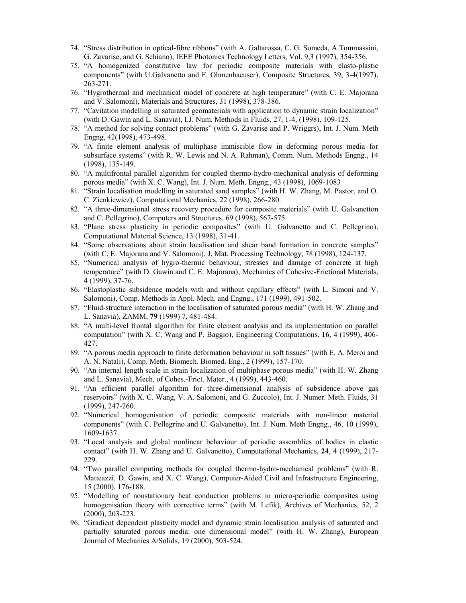- 74. "Stress distribution in optical-fibre ribbons" (with A. Galtarossa, C. G. Someda, A.Tommassini, G. Zavarise, and G. Schiano), IEEE Photonics Technology Letters, Vol. 9,3 (1997), 354-356.
- 75. "A homogenized constitutive law for periodic composite materials with elasto-plastic components" (with U.Galvanetto and F. Ohmenhaeuser), Composite Structures, 39, 3-4(1997), 263-271.
- 76. "Hygrothermal and mechanical model of concrete at high temperature" (with C. E. Majorana and V. Salomoni), Materials and Structures, 31 (1998), 378-386.
- 77. "Cavitation modelling in saturated geomaterials with application to dynamic strain localization" (with D. Gawin and L. Sanavia), I.J. Num. Methods in Fluids, 27, 1-4, (1998), 109-125.
- 78. "A method for solving contact problems" (with G. Zavarise and P. Wriggrs), Int. J. Num. Meth Engng, 42(1998), 473-498.
- 79. "A finite element analysis of multiphase immiscible flow in deforming porous media for subsurface systems" (with R. W. Lewis and N. A. Rahman), Comm. Num. Methods Engng., 14 (1998), 135-149.
- 80. "A multifrontal parallel algorithm for coupled thermo-hydro-mechanical analysis of deforming porous media" (with X. C. Wang), Int. J. Num. Meth. Engng., 43 (1998), 1069-1083
- 81. "Strain localisation modelling in saturated sand samples" (with H. W. Zhang, M. Pastor, and O. C. Zienkiewicz), Computational Mechanics, 22 (1998), 266-280.
- 82. "A three-dimensional stress recovery procedure for composite materials" (with U. Galvanetton and C. Pellegrino), Computers and Structures, 69 (1998), 567-575.
- 83. "Plane stress plasticity in periodic composites" (with U. Galvanetto and C. Pellegrino), Computational Material Science, 13 (1998), 31-41.
- 84. "Some observations about strain localisation and shear band formation in concrete samples" (with C. E. Majorana and V. Salomoni), J. Mat. Processing Technology, 78 (1998), 124-137.
- 85. "Numerical analysis of hygro-thermic behaviour, stresses and damage of concrete at high temperature" (with D. Gawin and C. E. Majorana), Mechanics of Cohesive-Frictional Materials, 4 (1999), 37-76.
- 86. "Elastoplastic subsidence models with and without capillary effects" (with L. Simoni and V. Salomoni), Comp. Methods in Appl. Mech. and Engng., 171 (1999), 491-502.
- 87. "Fluid-structure interaction in the localisation of saturated porous media" (with H. W. Zhang and L. Sanavia), ZAMM, **79** (1999) 7, 481-484.
- 88. "A multi-level frontal algorithm for finite element analysis and its implementation on parallel computation" (with X. C. Wang and P. Baggio), Engineering Computations, **16**, 4 (1999), 406- 427.
- 89. "A porous media approach to finite deformation behaviour in soft tissues" (with E. A. Meroi and A. N. Natali), Comp. Meth. Biomech. Biomed. Eng., 2 (1999), 157-170.
- 90. "An internal length scale in strain localization of multiphase porous media" (with H. W. Zhang and L. Sanavia), Mech. of Cohes.-Frict. Mater., 4 (1999), 443-460.
- 91. "An efficient parallel algorithm for three-dimensional analysis of subsidence above gas reservoirs" (with X. C. Wang, V. A. Salomoni, and G. Zuccolo), Int. J. Numer. Meth. Fluids, 31 (1999), 247-260.
- 92. "Numerical homogenisation of periodic composite materials with non-linear material components" (with C. Pellegrino and U. Galvanetto), Int. J. Num. Meth Engng., 46, 10 (1999), 1609-1637.
- 93. "Local analysis and global nonlinear behaviour of periodic assemblies of bodies in elastic contact" (with H. W. Zhang and U. Galvanetto), Computational Mechanics, **24**, 4 (1999), 217- 229.
- 94. "Two parallel computing methods for coupled thermo-hydro-mechanical problems" (with R. Matteazzi, D. Gawin, and X. C. Wang), Computer-Aided Civil and Infrastructure Engineering, 15 (2000), 176-188.
- 95. "Modelling of nonstationary heat conduction problems in micro-periodic composites using homogenisation theory with corrective terms" (with M. Lefik), Archives of Mechanics, 52, 2 (2000), 203-223.
- 96. "Gradient dependent plasticity model and dynamic strain localisation analysis of saturated and partially saturated porous media: one dimensional model" (with H. W. Zhang), European Journal of Mechanics A/Solids, 19 (2000), 503-524.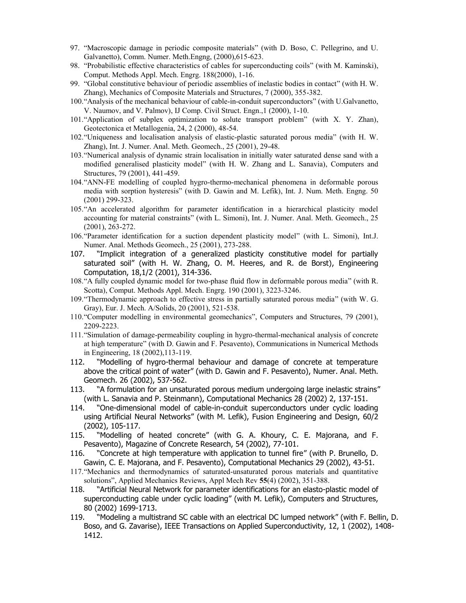- 97. "Macroscopic damage in periodic composite materials" (with D. Boso, C. Pellegrino, and U. Galvanetto), Comm. Numer. Meth.Engng, (2000),615-623.
- 98. "Probabilistic effective characteristics of cables for superconducting coils" (with M. Kaminski), Comput. Methods Appl. Mech. Engrg. 188(2000), 1-16.
- 99. "Global constitutive behaviour of periodic assemblies of inelastic bodies in contact" (with H. W. Zhang), Mechanics of Composite Materials and Structures, 7 (2000), 355-382.
- 100."Analysis of the mechanical behaviour of cable-in-conduit superconductors" (with U.Galvanetto, V. Naumov, and V. Palmov), IJ Comp. Civil Struct. Engn.,1 (2000), 1-10.
- 101."Application of subplex optimization to solute transport problem" (with X. Y. Zhan), Geotectonica et Metallogenia, 24, 2 (2000), 48-54.
- 102."Uniqueness and localisation analysis of elastic-plastic saturated porous media" (with H. W. Zhang), Int. J. Numer. Anal. Meth. Geomech., 25 (2001), 29-48.
- 103."Numerical analysis of dynamic strain localisation in initially water saturated dense sand with a modified generalised plasticity model" (with H. W. Zhang and L. Sanavia), Computers and Structures, 79 (2001), 441-459.
- 104."ANN-FE modelling of coupled hygro-thermo-mechanical phenomena in deformable porous media with sorption hysteresis" (with D. Gawin and M. Lefik), Int. J. Num. Meth. Engng. 50 (2001) 299-323.
- 105."An accelerated algorithm for parameter identification in a hierarchical plasticity model accounting for material constraints" (with L. Simoni), Int. J. Numer. Anal. Meth. Geomech., 25 (2001), 263-272.
- 106."Parameter identification for a suction dependent plasticity model" (with L. Simoni), Int.J. Numer. Anal. Methods Geomech., 25 (2001), 273-288.
- 107. "Implicit integration of a generalized plasticity constitutive model for partially saturated soil" (with H. W. Zhang, O. M. Heeres, and R. de Borst), Engineering Computation, 18,1/2 (2001), 314-336.
- 108."A fully coupled dynamic model for two-phase fluid flow in deformable porous media" (with R. Scotta), Comput. Methods Appl. Mech. Engrg. 190 (2001), 3223-3246.
- 109."Thermodynamic approach to effective stress in partially saturated porous media" (with W. G. Gray), Eur. J. Mech. A/Solids, 20 (2001), 521-538.
- 110."Computer modelling in environmental geomechanics", Computers and Structures, 79 (2001), 2209-2223.
- 111."Simulation of damage-permeability coupling in hygro-thermal-mechanical analysis of concrete at high temperature" (with D. Gawin and F. Pesavento), Communications in Numerical Methods in Engineering, 18 (2002),113-119.
- 112. "Modelling of hygro-thermal behaviour and damage of concrete at temperature above the critical point of water" (with D. Gawin and F. Pesavento), Numer. Anal. Meth. Geomech. 26 (2002), 537-562.
- 113. "A formulation for an unsaturated porous medium undergoing large inelastic strains" (with L. Sanavia and P. Steinmann), Computational Mechanics 28 (2002) 2, 137-151.
- 114. "One-dimensional model of cable-in-conduit superconductors under cyclic loading using Artificial Neural Networks" (with M. Lefik), Fusion Engineering and Design, 60/2 (2002), 105-117.
- 115. "Modelling of heated concrete" (with G. A. Khoury, C. E. Majorana, and F. Pesavento), Magazine of Concrete Research, 54 (2002), 77-101.
- 116. "Concrete at high temperature with application to tunnel fire" (with P. Brunello, D. Gawin, C. E. Majorana, and F. Pesavento), Computational Mechanics 29 (2002), 43-51.
- 117."Mechanics and thermodynamics of saturated-unsaturated porous materials and quantitative solutions", Applied Mechanics Reviews, Appl Mech Rev **55**(4) (2002), 351-388.
- 118. "Artificial Neural Network for parameter identifications for an elasto-plastic model of superconducting cable under cyclic loading" (with M. Lefik), Computers and Structures, 80 (2002) 1699-1713.
- 119. "Modeling a multistrand SC cable with an electrical DC lumped network" (with F. Bellin, D. Boso, and G. Zavarise), IEEE Transactions on Applied Superconductivity, 12, 1 (2002), 1408- 1412.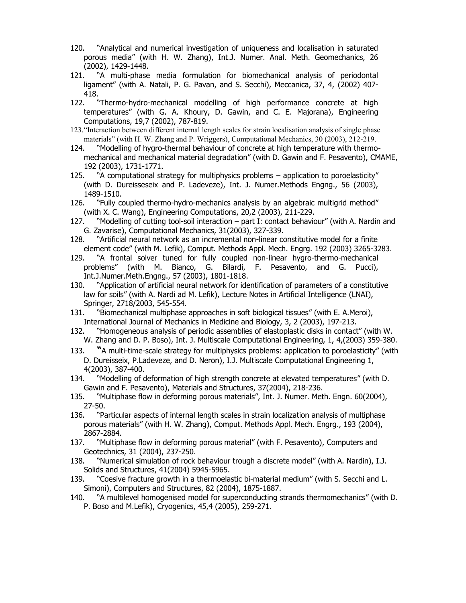- 120. "Analytical and numerical investigation of uniqueness and localisation in saturated porous media" (with H. W. Zhang), Int.J. Numer. Anal. Meth. Geomechanics, 26 (2002), 1429-1448.
- 121. "A multi-phase media formulation for biomechanical analysis of periodontal ligament" (with A. Natali, P. G. Pavan, and S. Secchi), Meccanica, 37, 4, (2002) 407- 418.
- 122. "Thermo-hydro-mechanical modelling of high performance concrete at high temperatures" (with G. A. Khoury, D. Gawin, and C. E. Majorana), Engineering Computations, 19,7 (2002), 787-819.
- 123."Interaction between different internal length scales for strain localisation analysis of single phase materials" (with H. W. Zhang and P. Wriggers), Computational Mechanics, 30 (2003), 212-219.
- 124. "Modelling of hygro-thermal behaviour of concrete at high temperature with thermomechanical and mechanical material degradation" (with D. Gawin and F. Pesavento), CMAME, 192 (2003), 1731-1771.
- 125. "A computational strategy for multiphysics problems application to poroelasticity" (with D. Dureisseseix and P. Ladeveze), Int. J. Numer.Methods Engng., 56 (2003), 1489-1510.
- 126. "Fully coupled thermo-hydro-mechanics analysis by an algebraic multigrid method" (with X. C. Wang), Engineering Computations, 20,2 (2003), 211-229.
- 127. "Modelling of cutting tool-soil interaction part I: contact behaviour" (with A. Nardin and G. Zavarise), Computational Mechanics, 31(2003), 327-339.
- 128. "Artificial neural network as an incremental non-linear constitutive model for a finite element code" (with M. Lefik), Comput. Methods Appl. Mech. Engrg. 192 (2003) 3265-3283.
- 129. "A frontal solver tuned for fully coupled non-linear hygro-thermo-mechanical problems" (with M. Bianco, G. Bilardi, F. Pesavento, and G. Pucci), Int.J.Numer.Meth.Engng., 57 (2003), 1801-1818.
- 130. "Application of artificial neural network for identification of parameters of a constitutive law for soils" (with A. Nardi ad M. Lefik), Lecture Notes in Artificial Intelligence (LNAI), Springer, 2718/2003, 545-554.
- 131. "Biomechanical multiphase approaches in soft biological tissues" (with E. A.Meroi), International Journal of Mechanics in Medicine and Biology, 3, 2 (2003), 197-213.
- 132. "Homogeneous analysis of periodic assemblies of elastoplastic disks in contact" (with W. W. Zhang and D. P. Boso), Int. J. Multiscale Computational Engineering, 1, 4,(2003) 359-380.
- 133. **"**A multi-time-scale strategy for multiphysics problems: application to poroelasticity" (with D. Dureisseix, P.Ladeveze, and D. Neron), I.J. Multiscale Computational Engineering 1, 4(2003), 387-400.
- 134. "Modelling of deformation of high strength concrete at elevated temperatures" (with D. Gawin and F. Pesavento), Materials and Structures, 37(2004), 218-236.
- 135. "Multiphase flow in deforming porous materials", Int. J. Numer. Meth. Engn. 60(2004), 27-50.
- 136. "Particular aspects of internal length scales in strain localization analysis of multiphase porous materials" (with H. W. Zhang), Comput. Methods Appl. Mech. Engrg., 193 (2004), 2867-2884.
- 137. "Multiphase flow in deforming porous material" (with F. Pesavento), Computers and Geotechnics, 31 (2004), 237-250.
- 138. "Numerical simulation of rock behaviour trough a discrete model" (with A. Nardin), I.J. Solids and Structures, 41(2004) 5945-5965.
- 139. "Coesive fracture growth in a thermoelastic bi-material medium" (with S. Secchi and L. Simoni), Computers and Structures, 82 (2004), 1875-1887.
- 140. "A multilevel homogenised model for superconducting strands thermomechanics" (with D. P. Boso and M.Lefik), Cryogenics, 45,4 (2005), 259-271.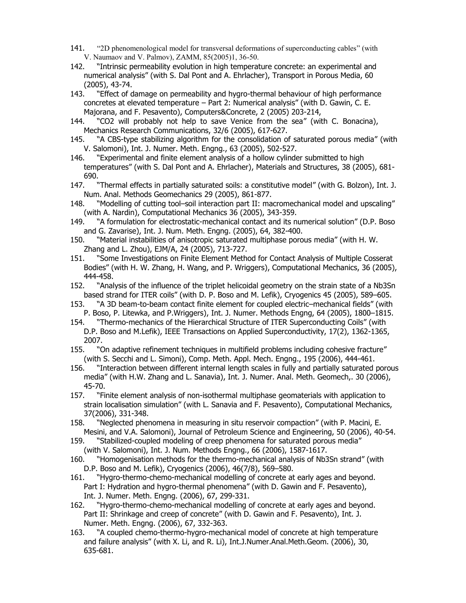- 141. "2D phenomenological model for transversal deformations of superconducting cables" (with V. Naumaov and V. Palmov), ZAMM, 85(2005)1, 36-50.
- 142. "Intrinsic permeability evolution in high temperature concrete: an experimental and numerical analysis" (with S. Dal Pont and A. Ehrlacher), Transport in Porous Media, 60 (2005), 43-74.
- 143. "Effect of damage on permeability and hygro-thermal behaviour of high performance concretes at elevated temperature – Part 2: Numerical analysis" (with D. Gawin, C. E. Majorana, and F. Pesavento), Computers&Concrete, 2 (2005) 203-214,
- 144. "CO2 will probably not help to save Venice from the sea" (with C. Bonacina), Mechanics Research Communications, 32/6 (2005), 617-627.
- 145. "A CBS-type stabilizing algorithm for the consolidation of saturated porous media" (with V. Salomoni), Int. J. Numer. Meth. Engng., 63 (2005), 502-527.
- 146. "Experimental and finite element analysis of a hollow cylinder submitted to high temperatures" (with S. Dal Pont and A. Ehrlacher), Materials and Structures, 38 (2005), 681- 690.
- 147. "Thermal effects in partially saturated soils: a constitutive model" (with G. Bolzon), Int. J. Num. Anal. Methods Geomechanics 29 (2005), 861-877.
- 148. "Modelling of cutting tool–soil interaction part II: macromechanical model and upscaling" (with A. Nardin), Computational Mechanics 36 (2005), 343-359.
- 149. "A formulation for electrostatic-mechanical contact and its numerical solution" (D.P. Boso and G. Zavarise), Int. J. Num. Meth. Engng. (2005), 64, 382-400.
- 150. "Material instabilities of anisotropic saturated multiphase porous media" (with H. W. Zhang and L. Zhou), EJM/A, 24 (2005), 713-727.
- 151. "Some Investigations on Finite Element Method for Contact Analysis of Multiple Cosserat Bodies" (with H. W. Zhang, H. Wang, and P. Wriggers), Computational Mechanics, 36 (2005), 444-458.
- 152. "Analysis of the influence of the triplet helicoidal geometry on the strain state of a Nb3Sn based strand for ITER coils" (with D. P. Boso and M. Lefik), Cryogenics 45 (2005), 589–605.
- 153. "A 3D beam-to-beam contact finite element for coupled electric–mechanical fields" (with P. Boso, P. Litewka, and P.Wriggers), Int. J. Numer. Methods Engng, 64 (2005), 1800–1815.
- 154. "Thermo-mechanics of the Hierarchical Structure of ITER Superconducting Coils" (with D.P. Boso and M.Lefik), IEEE Transactions on Applied Superconductivity, 17(2), 1362-1365, 2007.
- 155. "On adaptive refinement techniques in multifield problems including cohesive fracture" (with S. Secchi and L. Simoni), Comp. Meth. Appl. Mech. Engng., 195 (2006), 444-461.
- 156. "Interaction between different internal length scales in fully and partially saturated porous media" (with H.W. Zhang and L. Sanavia), Int. J. Numer. Anal. Meth. Geomech,. 30 (2006), 45-70.
- 157. "Finite element analysis of non-isothermal multiphase geomaterials with application to strain localisation simulation" (with L. Sanavia and F. Pesavento), Computational Mechanics, 37(2006), 331-348.
- 158. "Neglected phenomena in measuring in situ reservoir compaction" (with P. Macini, E. Mesini, and V.A. Salomoni), Journal of Petroleum Science and Engineering, 50 (2006), 40-54.
- 159. "Stabilized-coupled modeling of creep phenomena for saturated porous media" (with V. Salomoni), Int. J. Num. Methods Engng., 66 (2006), 1587-1617.
- 160. "Homogenisation methods for the thermo-mechanical analysis of Nb3Sn strand" (with D.P. Boso and M. Lefik), Cryogenics (2006), 46(7/8), 569–580.
- 161. "Hygro-thermo-chemo-mechanical modelling of concrete at early ages and beyond. Part I: Hydration and hygro-thermal phenomena" (with D. Gawin and F. Pesavento), Int. J. Numer. Meth. Engng. (2006), 67, 299-331.
- 162. "Hygro-thermo-chemo-mechanical modelling of concrete at early ages and beyond. Part II: Shrinkage and creep of concrete" (with D. Gawin and F. Pesavento), Int. J. Numer. Meth. Engng. (2006), 67, 332-363.
- 163. "A coupled chemo-thermo-hygro-mechanical model of concrete at high temperature and failure analysis" (with X. Li, and R. Li), Int.J.Numer.Anal.Meth.Geom. (2006), 30, 635-681.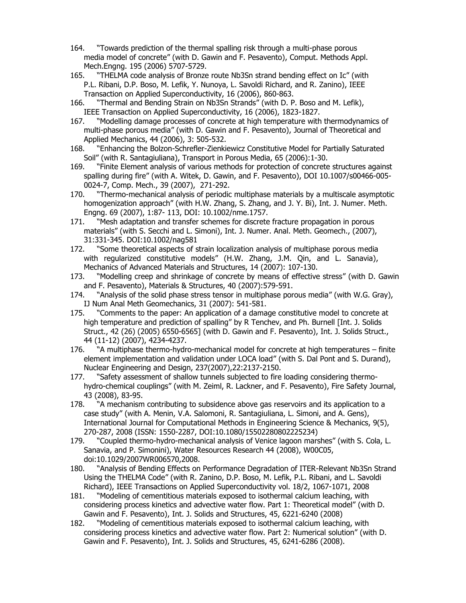- 164. "Towards prediction of the thermal spalling risk through a multi-phase porous media model of concrete" (with D. Gawin and F. Pesavento), Comput. Methods Appl. Mech.Engng. 195 (2006) 5707-5729.
- 165. "THELMA code analysis of Bronze route Nb3Sn strand bending effect on Ic" (with P.L. Ribani, D.P. Boso, M. Lefik, Y. Nunoya, L. Savoldi Richard, and R. Zanino), IEEE Transaction on Applied Superconductivity, 16 (2006), 860-863.
- 166. "Thermal and Bending Strain on Nb3Sn Strands" (with D. P. Boso and M. Lefik), IEEE Transaction on Applied Superconductivity, 16 (2006), 1823-1827.
- 167. "Modelling damage processes of concrete at high temperature with thermodynamics of multi-phase porous media" (with D. Gawin and F. Pesavento), Journal of Theoretical and Applied Mechanics, 44 (2006), 3: 505-532.
- 168. "Enhancing the Bolzon-Schrefler-Zienkiewicz Constitutive Model for Partially Saturated Soil" (with R. Santagiuliana), Transport in Porous Media, 65 (2006):1-30.
- 169. "Finite Element analysis of various methods for protection of concrete structures against spalling during fire" (with A. Witek, D. Gawin, and F. Pesavento), DOI 10.1007/s00466-005- 0024-7, Comp. Mech., 39 (2007), 271-292.
- 170. "Thermo-mechanical analysis of periodic multiphase materials by a multiscale asymptotic homogenization approach" (with H.W. Zhang, S. Zhang, and J. Y. Bi), Int. J. Numer. Meth. Engng. 69 (2007), 1:87- 113, DOI: 10.1002/nme.1757.
- 171. "Mesh adaptation and transfer schemes for discrete fracture propagation in porous materials" (with S. Secchi and L. Simoni), Int. J. Numer. Anal. Meth. Geomech., (2007), 31:331-345. DOI:10.1002/nag581
- 172. "Some theoretical aspects of strain localization analysis of multiphase porous media with regularized constitutive models" (H.W. Zhang, J.M. Qin, and L. Sanavia), Mechanics of Advanced Materials and Structures, 14 (2007): 107-130.
- 173. "Modelling creep and shrinkage of concrete by means of effective stress" (with D. Gawin and F. Pesavento), Materials & Structures, 40 (2007):579-591.
- 174. "Analysis of the solid phase stress tensor in multiphase porous media" (with W.G. Gray), IJ Num Anal Meth Geomechanics, 31 (2007): 541-581.
- 175. "Comments to the paper: An application of a damage constitutive model to concrete at high temperature and prediction of spalling" by R Tenchev, and Ph. Burnell [Int. J. Solids Struct., 42 (26) (2005) 6550-6565] (with D. Gawin and F. Pesavento), Int. J. Solids Struct., 44 (11-12) (2007), 4234-4237.
- 176. "A multiphase thermo-hydro-mechanical model for concrete at high temperatures finite element implementation and validation under LOCA load" (with S. Dal Pont and S. Durand), Nuclear Engineering and Design, 237(2007),22:2137-2150.
- 177. "Safety assessment of shallow tunnels subjected to fire loading considering thermohydro-chemical couplings" (with M. Zeiml, R. Lackner, and F. Pesavento), Fire Safety Journal, 43 (2008), 83-95.
- 178. "A mechanism contributing to subsidence above gas reservoirs and its application to a case study" (with A. Menin, V.A. Salomoni, R. Santagiuliana, L. Simoni, and A. Gens), International Journal for Computational Methods in Engineering Science & Mechanics, 9(5), 270-287, 2008 (ISSN: 1550-2287, DOI:10.1080/15502280802225234)
- 179. "Coupled thermo-hydro-mechanical analysis of Venice lagoon marshes" (with S. Cola, L. Sanavia, and P. Simonini), Water Resources Research 44 (2008), W00C05, doi:10.1029/2007WR006570,2008.
- 180. "Analysis of Bending Effects on Performance Degradation of ITER-Relevant Nb3Sn Strand Using the THELMA Code" (with R. Zanino, D.P. Boso, M. Lefik, P.L. Ribani, and L. Savoldi Richard), IEEE Transactions on Applied Superconductivity vol. 18/2, 1067-1071, 2008
- 181. "Modeling of cementitious materials exposed to isothermal calcium leaching, with considering process kinetics and advective water flow. Part 1: Theoretical model" (with D. Gawin and F. Pesavento), Int. J. Solids and Structures, 45, 6221-6240 (2008)
- 182. "Modeling of cementitious materials exposed to isothermal calcium leaching, with considering process kinetics and advective water flow. Part 2: Numerical solution" (with D. Gawin and F. Pesavento), Int. J. Solids and Structures, 45, 6241-6286 (2008).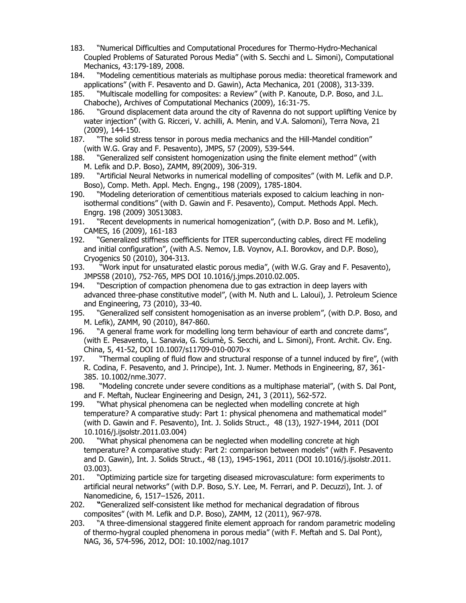- 183. "Numerical Difficulties and Computational Procedures for Thermo-Hydro-Mechanical Coupled Problems of Saturated Porous Media" (with S. Secchi and L. Simoni), Computational Mechanics, 43:179-189, 2008.
- 184. "Modeling cementitious materials as multiphase porous media: theoretical framework and applications" (with F. Pesavento and D. Gawin), Acta Mechanica, 201 (2008), 313-339.
- 185. "Multiscale modelling for composites: a Review" (with P. Kanoute, D.P. Boso, and J.L. Chaboche), Archives of Computational Mechanics (2009), 16:31-75.
- 186. "Ground displacement data around the city of Ravenna do not support uplifting Venice by water injection" (with G. Ricceri, V. achilli, A. Menin, and V.A. Salomoni), Terra Nova, 21 (2009), 144-150.
- 187. "The solid stress tensor in porous media mechanics and the Hill-Mandel condition" (with W.G. Gray and F. Pesavento), JMPS, 57 (2009), 539-544.
- 188. "Generalized self consistent homogenization using the finite element method" (with M. Lefik and D.P. Boso), ZAMM, 89(2009), 306-319.
- 189. "Artificial Neural Networks in numerical modelling of composites" (with M. Lefik and D.P. Boso), Comp. Meth. Appl. Mech. Engng., 198 (2009), 1785-1804.
- 190. "Modeling deterioration of cementitious materials exposed to calcium leaching in nonisothermal conditions" (with D. Gawin and F. Pesavento), Comput. Methods Appl. Mech. Engrg. 198 (2009) 30513083.
- 191. "Recent developments in numerical homogenization", (with D.P. Boso and M. Lefik), CAMES, 16 (2009), 161-183
- 192. "Generalized stiffness coefficients for ITER superconducting cables, direct FE modeling and initial configuration", (with A.S. Nemov, I.B. Voynov, A.I. Borovkov, and D.P. Boso), Cryogenics 50 (2010), 304-313.
- 193. "Work input for unsaturated elastic porous media", (with W.G. Gray and F. Pesavento), JMPS58 (2010), 752-765, MPS DOI 10.1016/j.jmps.2010.02.005.
- 194. "Description of compaction phenomena due to gas extraction in deep layers with advanced three-phase constitutive model", (with M. Nuth and L. Laloui), J. Petroleum Science and Engineering, 73 (2010), 33-40.
- 195. "Generalized self consistent homogenisation as an inverse problem", (with D.P. Boso, and M. Lefik), ZAMM, 90 (2010), 847-860.
- 196. "A general frame work for modelling long term behaviour of earth and concrete dams", (with E. Pesavento, L. Sanavia, G. Sciumè, S. Secchi, and L. Simoni), Front. Archit. Civ. Eng. China, 5, 41-52, DOI 10.1007/s11709-010-0070-x
- 197. "Thermal coupling of fluid flow and structural response of a tunnel induced by fire", (with R. Codina, F. Pesavento, and J. Principe), Int. J. Numer. Methods in Engineering, 87, 361- 385. 10.1002/nme.3077.
- 198. "Modeling concrete under severe conditions as a multiphase material", (with S. Dal Pont, and F. Meftah, Nuclear Engineering and Design, 241, 3 (2011), 562-572.
- 199. "What physical phenomena can be neglected when modelling concrete at high temperature? A comparative study: Part 1: physical phenomena and mathematical model" (with D. Gawin and F. Pesavento), Int. J. Solids Struct., 48 (13), 1927-1944, 2011 (DOI 10.1016/j.ijsolstr.2011.03.004)
- 200. "What physical phenomena can be neglected when modelling concrete at high temperature? A comparative study: Part 2: comparison between models" (with F. Pesavento and D. Gawin), Int. J. Solids Struct., 48 (13), 1945-1961, 2011 (DOI 10.1016/j.ijsolstr.2011. 03.003).
- 201. "Optimizing particle size for targeting diseased microvasculature: form experiments to artificial neural networks" (with D.P. Boso, S.Y. Lee, M. Ferrari, and P. Decuzzi), Int. J. of Nanomedicine, 6, 1517–1526, 2011.
- 202. **"**Generalized self-consistent like method for mechanical degradation of fibrous composites" (with M. Lefik and D.P. Boso), ZAMM, 12 (2011), 967-978.
- 203. "A three-dimensional staggered finite element approach for random parametric modeling of thermo-hygral coupled phenomena in porous media" (with F. Meftah and S. Dal Pont), NAG, 36, 574-596, 2012, DOI: 10.1002/nag.1017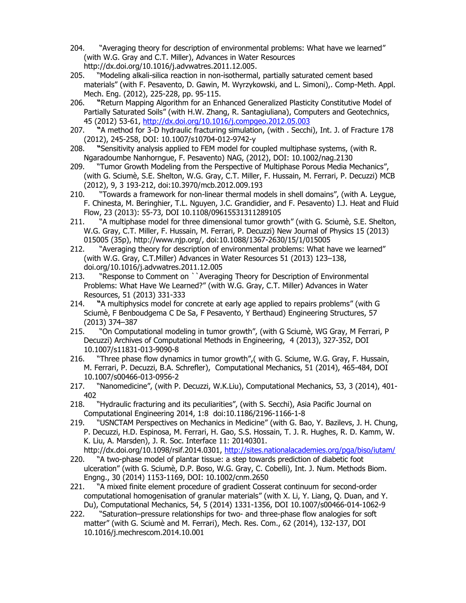- 204. "Averaging theory for description of environmental problems: What have we learned" (with W.G. Gray and C.T. Miller), Advances in Water Resources [http://dx.doi.org/10.1016/j.advwatres.2011.12.005.](http://dx.doi.org/10.1016/j.advwatres.2011.12.005)
- 205. "Modeling alkali-silica reaction in non-isothermal, partially saturated cement based materials" (with F. Pesavento, D. Gawin, M. Wyrzykowski, and L. Simoni),. Comp-Meth. Appl. Mech. Eng. (2012), 225-228, pp. 95-115.
- 206. **"**Return Mapping Algorithm for an Enhanced Generalized Plasticity Constitutive Model of Partially Saturated Soils" (with H.W. Zhang, R. Santagiuliana), Computers and Geotechnics, 45 (2012) 53-61,<http://dx.doi.org/10.1016/j.compgeo.2012.05.003>
- 207. **"**A method for 3-D hydraulic fracturing simulation, (with . Secchi), Int. J. of Fracture 178 (2012), 245-258, DOI: 10.1007/s10704-012-9742-y
- 208. **"**Sensitivity analysis applied to FEM model for coupled multiphase systems, (with R. Ngaradoumbe Nanhorngue, F. Pesavento) NAG, (2012), DOI: 10.1002/nag.2130
- 209. "Tumor Growth Modeling from the Perspective of Multiphase Porous Media Mechanics", (with G. Sciumè, S.E. Shelton, W.G. Gray, C.T. Miller, F. Hussain, M. Ferrari, P. Decuzzi) MCB (2012), 9, 3 193-212, doi:10.3970/mcb.2012.009.193
- 210. "Towards a framework for non-linear thermal models in shell domains", (with A. Leygue, F. Chinesta, M. Beringhier, T.L. Nguyen, J.C. Grandidier, and F. Pesavento) I.J. Heat and Fluid Flow, 23 (2013): 55-73, DOI 10.1108/09615531311289105
- 211. "A multiphase model for three dimensional tumor growth" (with G. Sciumè, S.E. Shelton, W.G. Gray, C.T. Miller, F. Hussain, M. Ferrari, P. Decuzzi) New Journal of Physics 15 (2013) 015005 (35p), http://www.njp.org/, doi:10.1088/1367-2630/15/1/015005
- 212. "Averaging theory for description of environmental problems: What have we learned" (with W.G. Gray, C.T.Miller) Advances in Water Resources 51 (2013) 123–138, doi.org/10.1016/j.advwatres.2011.12.005
- 213. "Response to Comment on ``Averaging Theory for Description of Environmental Problems: What Have We Learned?" (with W.G. Gray, C.T. Miller) Advances in Water Resources, 51 (2013) 331-333
- 214. **"**A multiphysics model for concrete at early age applied to repairs problems" (with G Sciumè, F Benboudgema C De Sa, F Pesavento, Y Berthaud) Engineering Structures, 57 (2013) 374–387
- 215. "On Computational modeling in tumor growth", (with G Sciumè, WG Gray, M Ferrari, P Decuzzi) Archives of Computational Methods in Engineering, 4 (2013), 327-352, DOI 10.1007/s11831-013-9090-8
- 216. "Three phase flow dynamics in tumor growth",( with G. Sciume, W.G. Gray, F. Hussain, M. Ferrari, P. Decuzzi, B.A. Schrefler), Computational Mechanics, 51 (2014), 465-484, DOI 10.1007/s00466-013-0956-2
- 217. "Nanomedicine", (with P. Decuzzi, W.K.Liu), Computational Mechanics, 53, 3 (2014), 401- 402
- 218. "Hydraulic fracturing and its peculiarities", (with S. Secchi), Asia Pacific Journal on Computational Engineering 2014, 1:8 doi:10.1186/2196-1166-1-8
- 219. "USNCTAM Perspectives on Mechanics in Medicine" (with G. Bao, Y. Bazilevs, J. H. Chung, P. Decuzzi, H.D. Espinosa, M. Ferrari, H. Gao, S.S. Hossain, T. J. R. Hughes, R. D. Kamm, W. K. Liu, A. Marsden), J. R. Soc. Interface 11: 20140301. http://dx.doi.org/10.1098/rsif.2014.0301,<http://sites.nationalacademies.org/pga/biso/iutam/>
- 220. "A two-phase model of plantar tissue: a step towards prediction of diabetic foot ulceration" (with G. Sciumè, D.P. Boso, W.G. Gray, C. Cobelli), Int. J. Num. Methods Biom. Engng., 30 (2014) 1153-1169, DOI: 10.1002/cnm.2650
- 221. "A mixed finite element procedure of gradient Cosserat continuum for second-order computational homogenisation of granular materials" (with X. Li, Y. Liang, Q. Duan, and Y. Du), Computational Mechanics, 54, 5 (2014) 1331-1356, DOI 10.1007/s00466-014-1062-9
- 222. "Saturation–pressure relationships for two- and three-phase flow analogies for soft matter" (with G. Sciumè and M. Ferrari), Mech. Res. Com., 62 (2014), 132-137, DOI 10.1016/j.mechrescom.2014.10.001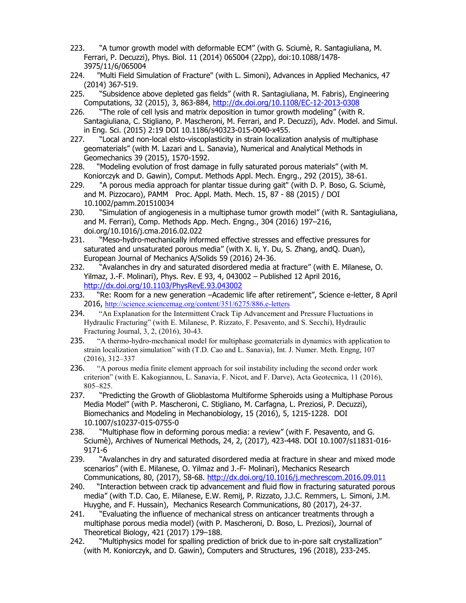- 223. "A tumor growth model with deformable ECM" (with G. Sciumè, R. Santagiuliana, M. Ferrari, P. Decuzzi), Phys. Biol. 11 (2014) 065004 (22pp), doi:10.1088/1478- 3975/11/6/065004
- 224. "Multi Field Simulation of Fracture" (with L. Simoni), Advances in Applied Mechanics, 47 (2014) 367-519.
- 225. "Subsidence above depleted gas fields" (with R. Santagiuliana, M. Fabris), Engineering Computations, 32 (2015), 3, 863-884,<http://dx.doi.org/10.1108/EC-12-2013-0308>
- 226. "The role of cell lysis and matrix deposition in tumor growth modeling" (with R. Santagiuliana, C. Stigliano, P. Mascheroni, M. Ferrari, and P. Decuzzi), Adv. Model. and Simul. in Eng. Sci. (2015) 2:19 DOI 10.1186/s40323-015-0040-x455.
- 227. "Local and non-local elsto-viscoplasticity in strain localization analysis of multiphase geomaterials" (with M. Lazari and L. Sanavia), Numerical and Analytical Methods in Geomechanics 39 (2015), 1570-1592.
- 228. "Modeling evolution of frost damage in fully saturated porous materials" (with M. Koniorczyk and D. Gawin), Comput. Methods Appl. Mech. Engrg., 292 (2015), 38-61.
- 229. "A porous media approach for plantar tissue during gait" (with D. P. Boso, G. Sciumè, and M. Pizzocaro), PAMM Proc. Appl. Math. Mech. 15, 87 - 88 (2015) / DOI 10.1002/pamm.201510034
- 230. "Simulation of angiogenesis in a multiphase tumor growth model" (with R. Santagiuliana, and M. Ferrari), Comp. Methods App. Mech. Engng., 304 (2016) 197–216, doi.org/10.1016/j.cma.2016.02.022
- 231. "Meso-hydro-mechanically informed effective stresses and effective pressures for saturated and unsaturated porous media" (with X. li, Y. Du, S. Zhang, andQ. Duan), European Journal of Mechanics A/Solids 59 (2016) 24-36.
- 232. "Avalanches in dry and saturated disordered media at fracture" (with E. Milanese, O. Yilmaz, J.-F. Molinari), Phys. Rev. E 93, 4, 043002 – Published 12 April 2016, <http://dx.doi.org/10.1103/PhysRevE.93.043002>
- 233. "Re: Room for a new generation –Academic life after retirement", Science e-letter, 8 April 2016, <http://science.sciencemag.org/content/351/6275/886.e-letters>
- 234. "An Explanation for the Intermittent Crack Tip Advancement and Pressure Fluctuations in Hydraulic Fracturing" (with E. Milanese, P. Rizzato, F. Pesavento, and S. Secchi), Hydraulic Fracturing Journal, 3, 2, (2016), 30-43.
- 235. "A thermo-hydro-mechanical model for multiphase geomaterials in dynamics with application to strain localization simulation" with (T.D. Cao and L. Sanavia), Int. J. Numer. Meth. Engng, 107 (2016), 312–337
- 236. "A porous media finite element approach for soil instability including the second order work criterion" (with E. Kakogiannou, L. Sanavia, F. Nicot, and F. Darve), Acta Geotecnica, 11 (2016), 805–825.
- 237. "Predicting the Growth of Glioblastoma Multiforme Spheroids using a Multiphase Porous Media Model" (with P. Mascheroni, C. Stigliano, M. Carfagna, L. Preziosi, P. Decuzzi), Biomechanics and Modeling in Mechanobiology, 15 (2016), 5, 1215-1228. DOI 10.1007/s10237-015-0755-0
- 238. "Multiphase flow in deforming porous media: a review" (with F. Pesavento, and G. Sciumè), Archives of Numerical Methods, 24, 2, (2017), 423-448. DOI 10.1007/s11831-016- 9171-6
- 239. "Avalanches in dry and saturated disordered media at fracture in shear and mixed mode scenarios" (with E. Milanese, O. Yilmaz and J.-F- Molinari), Mechanics Research Communications, 80, (2017), 58-68.<http://dx.doi.org/10.1016/j.mechrescom.2016.09.011>
- 240. "Interaction between crack tip advancement and fluid flow in fracturing saturated porous media" (with T.D. Cao, E. Milanese, E.W. Remij, P. Rizzato, J.J.C. Remmers, L. Simoni, J.M. Huyghe, and F. Hussain), Mechanics Research Communications, 80 (2017), 24-37.
- 241. "Evaluating the influence of mechanical stress on anticancer treatments through a multiphase porous media model) (with P. Mascheroni, D. Boso, L. Preziosi), Journal of Theoretical Biology, 421 (2017) 179–188.
- 242. "Multiphysics model for spalling prediction of brick due to in-pore salt crystallization" (with M. Koniorczyk, and D. Gawin), Computers and Structures, 196 (2018), 233-245.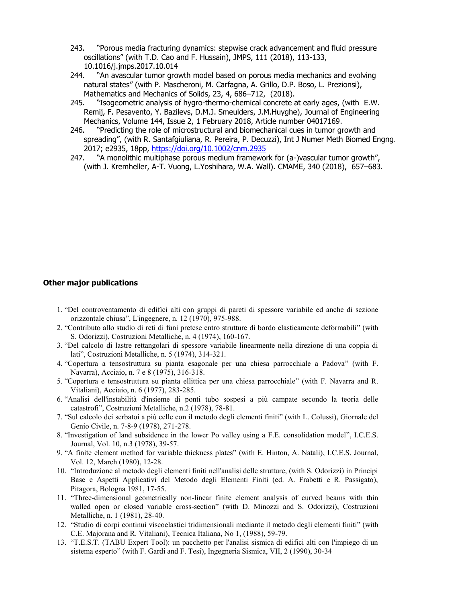- 243. "Porous media fracturing dynamics: stepwise crack advancement and fluid pressure oscillations" (with T.D. Cao and F. Hussain), JMPS, 111 (2018), 113-133, 10.1016/j.jmps.2017.10.014
- 244. "An avascular tumor growth model based on porous media mechanics and evolving natural states" (with P. Mascheroni, M. Carfagna, A. Grillo, D.P. Boso, L. Prezionsi), Mathematics and Mechanics of Solids, 23, 4, 686–712, (2018).
- 245. "Isogeometric analysis of hygro-thermo-chemical concrete at early ages, (with E.W. Remij, F. Pesavento, Y. Bazilevs, D.M.J. Smeulders, J.M.Huyghe), Journal of Engineering Mechanics, Volume 144, Issue 2, 1 February 2018, Article number 04017169.
- 246. "Predicting the role of microstructural and biomechanical cues in tumor growth and spreading", (with R. Santafgiuliana, R. Pereira, P. Decuzzi), Int J Numer Meth Biomed Engng. 2017; e2935, 18pp, <https://doi.org/10.1002/cnm.2935>
- 247. "A monolithic multiphase porous medium framework for (a-)vascular tumor growth", (with J. Kremheller, A-T. Vuong, L.Yoshihara, W.A. Wall). CMAME, 340 (2018), 657–683.

# **Other major publications**

- 1. "Del controventamento di edifici alti con gruppi di pareti di spessore variabile ed anche di sezione orizzontale chiusa", L'ingegnere, n. 12 (1970), 975-988.
- 2. "Contributo allo studio di reti di funi pretese entro strutture di bordo elasticamente deformabili" (with S. Odorizzi), Costruzioni Metalliche, n. 4 (1974), 160-167.
- 3. "Del calcolo di lastre rettangolari di spessore variabile linearmente nella direzione di una coppia di lati", Costruzioni Metalliche, n. 5 (1974), 314-321.
- 4. "Copertura a tensostruttura su pianta esagonale per una chiesa parrocchiale a Padova" (with F. Navarra), Acciaio, n. 7 e 8 (1975), 316-318.
- 5. "Copertura e tensostruttura su pianta ellittica per una chiesa parrocchiale" (with F. Navarra and R. Vitaliani), Acciaio, n. 6 (1977), 283-285.
- 6. "Analisi dell'instabilità d'insieme di ponti tubo sospesi a più campate secondo la teoria delle catastrofi", Costruzioni Metalliche, n.2 (1978), 78-81.
- 7. "Sul calcolo dei serbatoi a più celle con il metodo degli elementi finiti" (with L. Colussi), Giornale del Genio Civile, n. 7-8-9 (1978), 271-278.
- 8. "Investigation of land subsidence in the lower Po valley using a F.E. consolidation model", I.C.E.S. Journal, Vol. 10, n.3 (1978), 39-57.
- 9. "A finite element method for variable thickness plates" (with E. Hinton, A. Natali), I.C.E.S. Journal, Vol. 12, March (1980), 12-28.
- 10. "Introduzione al metodo degli elementi finiti nell'analisi delle strutture, (with S. Odorizzi) in Principi Base e Aspetti Applicativi del Metodo degli Elementi Finiti (ed. A. Frabetti e R. Passigato), Pitagora, Bologna 1981, 17-55.
- 11. "Three-dimensional geometrically non-linear finite element analysis of curved beams with thin walled open or closed variable cross-section" (with D. Minozzi and S. Odorizzi), Costruzioni Metalliche, n. 1 (1981), 28-40.
- 12. "Studio di corpi continui viscoelastici tridimensionali mediante il metodo degli elementi finiti" (with C.E. Majorana and R. Vitaliani), Tecnica Italiana, No 1, (1988), 59-79.
- 13. "T.E.S.T. (TABU Expert Tool): un pacchetto per l'analisi sismica di edifici alti con l'impiego di un sistema esperto" (with F. Gardi and F. Tesi), Ingegneria Sismica, VII, 2 (1990), 30-34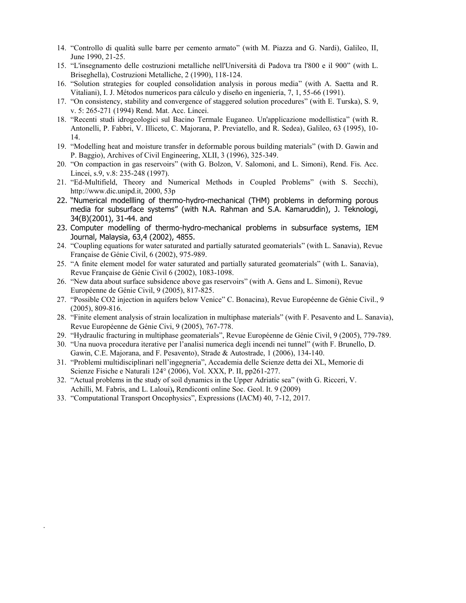- 14. "Controllo di qualità sulle barre per cemento armato" (with M. Piazza and G. Nardi), Galileo, II, June 1990, 21-25.
- 15. "L'insegnamento delle costruzioni metalliche nell'Università di Padova tra l'800 e il 900" (with L. Briseghella), Costruzioni Metalliche, 2 (1990), 118-124.
- 16. "Solution strategies for coupled consolidation analysis in porous media" (with A. Saetta and R. Vitaliani), I. J. Métodos numericos para cálculo y diseño en ingeniería, 7, 1, 55-66 (1991).
- 17. "On consistency, stability and convergence of staggered solution procedures" (with E. Turska), S. 9, v. 5: 265-271 (1994) Rend. Mat. Acc. Lincei.
- 18. "Recenti studi idrogeologici sul Bacino Termale Euganeo. Un'applicazione modellistica" (with R. Antonelli, P. Fabbri, V. Illiceto, C. Majorana, P. Previatello, and R. Sedea), Galileo, 63 (1995), 10- 14.
- 19. "Modelling heat and moisture transfer in deformable porous building materials" (with D. Gawin and P. Baggio), Archives of Civil Engineering, XLII, 3 (1996), 325-349.
- 20. "On compaction in gas reservoirs" (with G. Bolzon, V. Salomoni, and L. Simoni), Rend. Fis. Acc. Lincei, s.9, v.8: 235-248 (1997).
- 21. "Ed-Multifield, Theory and Numerical Methods in Coupled Problems" (with S. Secchi), http://www.dic.unipd.it, 2000, 53p
- 22. "Numerical modellling of thermo-hydro-mechanical (THM) problems in deforming porous media for subsurface systems" (with N.A. Rahman and S.A. Kamaruddin), J. Teknologi, 34(B)(2001), 31-44. and
- 23. Computer modelling of thermo-hydro-mechanical problems in subsurface systems, IEM Journal, Malaysia, 63,4 (2002), 4855.
- 24. "Coupling equations for water saturated and partially saturated geomaterials" (with L. Sanavia), Revue Française de Génie Civil, 6 (2002), 975-989.
- 25. "A finite element model for water saturated and partially saturated geomaterials" (with L. Sanavia), Revue Française de Génie Civil 6 (2002), 1083-1098.
- 26. "New data about surface subsidence above gas reservoirs" (with A. Gens and L. Simoni), Revue Européenne de Génie Civil, 9 (2005), 817-825.
- 27. "Possible CO2 injection in aquifers below Venice" C. Bonacina), Revue Européenne de Génie Civil., 9 (2005), 809-816.
- 28. "Finite element analysis of strain localization in multiphase materials" (with F. Pesavento and L. Sanavia), Revue Européenne de Génie Civi, 9 (2005), 767-778.
- 29. "Hydraulic fracturing in multiphase geomaterials", Revue Européenne de Génie Civil, 9 (2005), 779-789.
- 30. "Una nuova procedura iterative per l'analisi numerica degli incendi nei tunnel" (with F. Brunello, D. Gawin, C.E. Majorana, and F. Pesavento), Strade & Autostrade, 1 (2006), 134-140.
- 31. "Problemi multidisciplinari nell'ingegneria", Accademia delle Scienze detta dei XL, Memorie di Scienze Fisiche e Naturali 124° (2006), Vol. XXX, P. II, pp261-277.
- 32. "Actual problems in the study of soil dynamics in the Upper Adriatic sea" (with G. Ricceri, V. Achilli, M. Fabris, and L. Laloui)**,** Rendiconti online Soc. Geol. It. 9 (2009)
- 33. "Computational Transport Oncophysics", Expressions (IACM) 40, 7-12, 2017.

.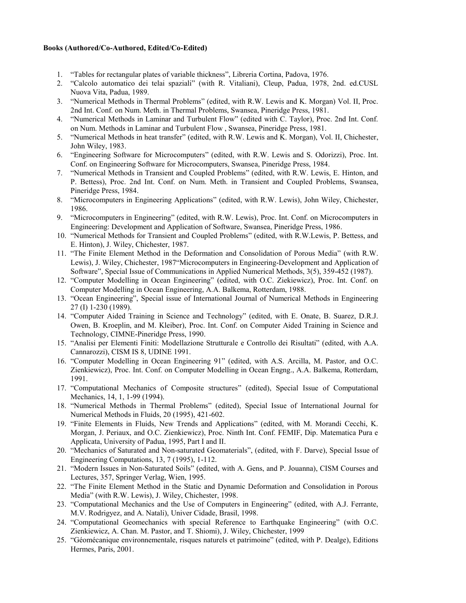### **Books (Authored/Co-Authored, Edited/Co-Edited)**

- 1. "Tables for rectangular plates of variable thickness", Libreria Cortina, Padova, 1976.
- 2. "Calcolo automatico dei telai spaziali" (with R. Vitaliani), Cleup, Padua, 1978, 2nd. ed.CUSL Nuova Vita, Padua, 1989.
- 3. "Numerical Methods in Thermal Problems" (edited, with R.W. Lewis and K. Morgan) Vol. II, Proc. 2nd Int. Conf. on Num. Meth. in Thermal Problems, Swansea, Pineridge Press, 1981.
- 4. "Numerical Methods in Laminar and Turbulent Flow" (edited with C. Taylor), Proc. 2nd Int. Conf. on Num. Methods in Laminar and Turbulent Flow , Swansea, Pineridge Press, 1981.
- 5. "Numerical Methods in heat transfer" (edited, with R.W. Lewis and K. Morgan), Vol. II, Chichester, John Wiley, 1983.
- 6. "Engineering Software for Microcomputers" (edited, with R.W. Lewis and S. Odorizzi), Proc. Int. Conf. on Engineering Software for Microcomputers, Swansea, Pineridge Press, 1984.
- 7. "Numerical Methods in Transient and Coupled Problems" (edited, with R.W. Lewis, E. Hinton, and P. Bettess), Proc. 2nd Int. Conf. on Num. Meth. in Transient and Coupled Problems, Swansea, Pineridge Press, 1984.
- 8. "Microcomputers in Engineering Applications" (edited, with R.W. Lewis), John Wiley, Chichester, 1986.
- 9. "Microcomputers in Engineering" (edited, with R.W. Lewis), Proc. Int. Conf. on Microcomputers in Engineering: Development and Application of Software, Swansea, Pineridge Press, 1986.
- 10. "Numerical Methods for Transient and Coupled Problems" (edited, with R.W.Lewis, P. Bettess, and E. Hinton), J. Wiley, Chichester, 1987.
- 11. "The Finite Element Method in the Deformation and Consolidation of Porous Media" (with R.W. Lewis), J. Wiley, Chichester, 1987"Microcomputers in Engineering-Development and Application of Software", Special Issue of Communications in Applied Numerical Methods, 3(5), 359-452 (1987).
- 12. "Computer Modelling in Ocean Engineering" (edited, with O.C. Ziekiewicz), Proc. Int. Conf. on Computer Modelling in Ocean Engineering, A.A. Balkema, Rotterdam, 1988.
- 13. "Ocean Engineering", Special issue of International Journal of Numerical Methods in Engineering 27 (I) 1-230 (1989).
- 14. "Computer Aided Training in Science and Technology" (edited, with E. Onate, B. Suarez, D.R.J. Owen, B. Kroeplin, and M. Kleiber), Proc. Int. Conf. on Computer Aided Training in Science and Technology, CIMNE-Pineridge Press, 1990.
- 15. "Analisi per Elementi Finiti: Modellazione Strutturale e Controllo dei Risultati" (edited, with A.A. Cannarozzi), CISM IS 8, UDINE 1991.
- 16. "Computer Modelling in Ocean Engineering 91" (edited, with A.S. Arcilla, M. Pastor, and O.C. Zienkiewicz), Proc. Int. Conf. on Computer Modelling in Ocean Engng., A.A. Balkema, Rotterdam, 1991.
- 17. "Computational Mechanics of Composite structures" (edited), Special Issue of Computational Mechanics, 14, 1, 1-99 (1994).
- 18. "Numerical Methods in Thermal Problems" (edited), Special Issue of International Journal for Numerical Methods in Fluids, 20 (1995), 421-602.
- 19. "Finite Elements in Fluids, New Trends and Applications" (edited, with M. Morandi Cecchi, K. Morgan, J. Periaux, and O.C. Zienkiewicz), Proc. Ninth Int. Conf. FEMIF, Dip. Matematica Pura e Applicata, University of Padua, 1995, Part I and II.
- 20. "Mechanics of Saturated and Non-saturated Geomaterials", (edited, with F. Darve), Special Issue of Engineering Computations, 13, 7 (1995), 1-112.
- 21. "Modern Issues in Non-Saturated Soils" (edited, with A. Gens, and P. Jouanna), CISM Courses and Lectures, 357, Springer Verlag, Wien, 1995.
- 22. "The Finite Element Method in the Static and Dynamic Deformation and Consolidation in Porous Media" (with R.W. Lewis), J. Wiley, Chichester, 1998.
- 23. "Computational Mechanics and the Use of Computers in Engineering" (edited, with A.J. Ferrante, M.V. Rodrigyez, and A. Natali), Univer Cidade, Brasil, 1998.
- 24. "Computational Geomechanics with special Reference to Earthquake Engineering" (with O.C. Zienkiewicz, A. Chan. M. Pastor, and T. Shiomi), J. Wiley, Chichester, 1999
- 25. "Géomécanique environnementale, risques naturels et patrimoine" (edited, with P. Dealge), Editions Hermes, Paris, 2001.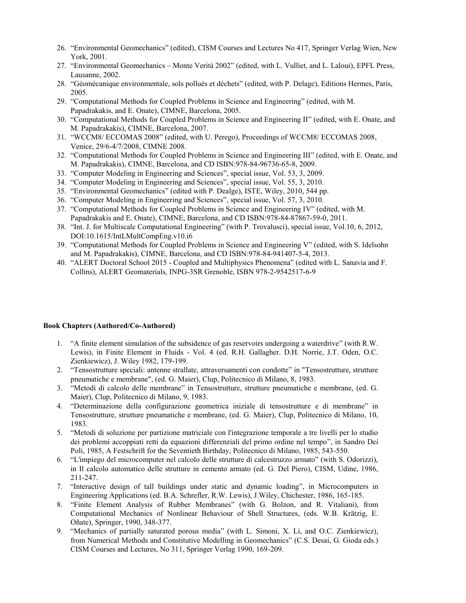- 26. "Environmental Geomechanics" (edited), CISM Courses and Lectures No 417, Springer Verlag Wien, New York, 2001.
- 27. "Environmental Geomechanics Monte Verità 2002" (edited, with L. Vulliet, and L. Laloui), EPFL Press, Lausanne, 2002.
- 28. "Géomécanique environmentale, sols pollués et déchets" (edited, with P. Delage), Editions Hermes, Paris, 2005.
- 29. "Computational Methods for Coupled Problems in Science and Engineering" (edited, with M. Papadrakakis, and E. Onate), CIMNE, Barcelona, 2005.
- 30. "Computational Methods for Coupled Problems in Science and Engineering II" (edited, with E. Onate, and M. Papadrakakis), CIMNE, Barcelona, 2007.
- 31. "WCCM8/ ECCOMAS 2008" (edited, with U. Perego), Proceedings of WCCM8/ ECCOMAS 2008, Venice, 29/6-4/7/2008, CIMNE 2008.
- 32. "Computational Methods for Coupled Problems in Science and Engineering III" (edited, with E. Onate, and M. Papadrakakis), CIMNE, Barcelona, and CD ISBN:978-84-96736-65-8, 2009.
- 33. "Computer Modeling in Engineering and Sciences", special issue, Vol. 53, 3, 2009.
- 34. "Computer Modeling in Engineering and Sciences", special issue, Vol. 55, 3, 2010.
- 35. "Environmental Geomechanics" (edited with P. Dealge), ISTE, Wiley, 2010, 544 pp.
- 36. "Computer Modeling in Engineering and Sciences", special issue, Vol. 57, 3, 2010.
- 37. "Computational Methods for Coupled Problems in Science and Engineering IV" (edited, with M. Papadrakakis and E. Onate), CIMNE, Barcelona, and CD ISBN:978-84-87867-59-0, 2011.
- 38. "Int. J. for Multiscale Computational Engineering" (with P. Trovalusci), special issue, Vol.10, 6, 2012, DOI:10.1615/IntLMultCompEng.v10.i6
- 39. "Computational Methods for Coupled Problems in Science and Engineering V" (edited, with S. Idelsohn and M. Papadrakakis), CIMNE, Barcelona, and CD ISBN:978-84-941407-5-4, 2013.
- 40. "ALERT Doctoral School 2015 Coupled and Multiphysics Phenomena" (edited with L. Sanavia and F. Collins), ALERT Geomaterials, INPG-3SR Grenoble, ISBN 978-2-9542517-6-9

### **Book Chapters (Authored/Co-Authored)**

- 1. "A finite element simulation of the subsidence of gas reservoirs undergoing a waterdrive" (with R.W. Lewis), in Finite Element in Fluids - Vol. 4 (ed. R.H. Gallagher. D.H. Norrie, J.T. Oden, O.C. Zienkiewicz), J. Wiley 1982, 179-199.
- 2. "Tensostrutture speciali: antenne strallate, attraversamenti con condotte" in "Tensostrutture, strutture pneumatiche e membrane", (ed. G. Maier), Clup, Politecnico di Milano, 8, 1983.
- 3. "Metodi di calcolo delle membrane" in Tensostrutture, strutture pneumatiche e membrane, (ed. G. Maier), Clup, Politecnico di Milano, 9, 1983.
- 4. "Determinazione della configurazione geometrica iniziale di tensostrutture e di membrane" in Tensostrutture, strutture pneumatiche e membrane, (ed. G. Maier), Clup, Politecnico di Milano, 10, 1983.
- 5. "Metodi di soluzione per partizione matriciale con l'integrazione temporale a tre livelli per lo studio dei problemi accoppiati retti da equazioni differenziali del primo ordine nel tempo", in Sandro Dei Poli, 1985, A Festschrift for the Seventieth Birthday, Politecnico di Milano, 1985, 543-550.
- 6. "L'impiego del microcomputer nel calcolo delle strutture di calcestruzzo armato" (with S. Odorizzi), in Il calcolo automatico delle strutture in cemento armato (ed. G. Del Piero), CISM, Udine, 1986, 211-247.
- 7. "Interactive design of tall buildings under static and dynamic loading", in Microcomputers in Engineering Applications (ed. B.A. Schrefler, R.W. Lewis), J.Wiley, Chichester, 1986, 165-185.
- 8. "Finite Element Analysis of Rubber Membranes" (with G. Bolzon, and R. Vitaliani), from Computational Mechanics of Nonlinear Behaviour of Shell Structures, (eds. W.B. Krätzig, E. Oñate), Springer, 1990, 348-377.
- 9. "Mechanics of partially saturated porous media" (with L. Simoni, X. Li, and O.C. Zienkiewicz), from Numerical Methods and Constitutive Modelling in Geomechanics" (C.S. Desai, G. Gioda eds.) CISM Courses and Lectures, No 311, Springer Verlag 1990, 169-209.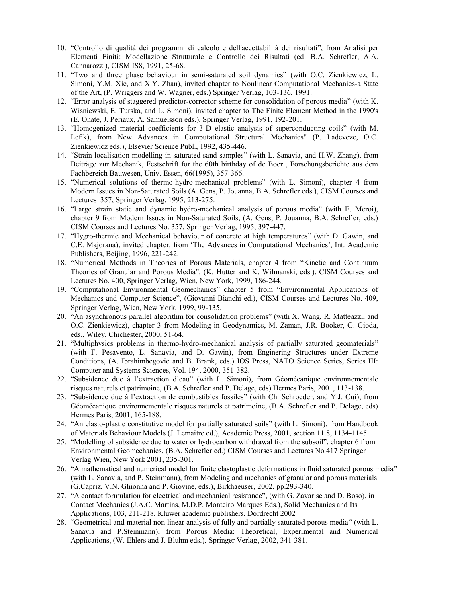- 10. "Controllo di qualità dei programmi di calcolo e dell'accettabilità dei risultati", from Analisi per Elementi Finiti: Modellazione Strutturale e Controllo dei Risultati (ed. B.A. Schrefler, A.A. Cannarozzi), CISM IS8, 1991, 25-68.
- 11. "Two and three phase behaviour in semi-saturated soil dynamics" (with O.C. Zienkiewicz, L. Simoni, Y.M. Xie, and X.Y. Zhan), invited chapter to Nonlinear Computational Mechanics-a State of the Art, (P. Wriggers and W. Wagner, eds.) Springer Verlag, 103-136, 1991.
- 12. "Error analysis of staggered predictor-corrector scheme for consolidation of porous media" (with K. Wisniewski, E. Turska, and L. Simoni), invited chapter to The Finite Element Method in the 1990's (E. Onate, J. Periaux, A. Samuelsson eds.), Springer Verlag, 1991, 192-201.
- 13. "Homogenized material coefficients for 3-D elastic analysis of superconducting coils" (with M. Lefik), from New Advances in Computational Structural Mechanics" (P. Ladeveze, O.C. Zienkiewicz eds.), Elsevier Science Publ., 1992, 435-446.
- 14. "Strain localisation modelling in saturated sand samples" (with L. Sanavia, and H.W. Zhang), from Beiträge zur Mechanik, Festschrift for the 60th birthday of de Boer , Forschungsberichte aus dem Fachbereich Bauwesen, Univ. Essen, 66(1995), 357-366.
- 15. "Numerical solutions of thermo-hydro-mechanical problems" (with L. Simoni), chapter 4 from Modern Issues in Non-Saturated Soils (A. Gens, P. Jouanna, B.A. Schrefler eds.), CISM Courses and Lectures 357, Springer Verlag, 1995, 213-275.
- 16. "Large strain static and dynamic hydro-mechanical analysis of porous media" (with E. Meroi), chapter 9 from Modern Issues in Non-Saturated Soils, (A. Gens, P. Jouanna, B.A. Schrefler, eds.) CISM Courses and Lectures No. 357, Springer Verlag, 1995, 397-447.
- 17. "Hygro-thermic and Mechanical behaviour of concrete at high temperatures" (with D. Gawin, and C.E. Majorana), invited chapter, from 'The Advances in Computational Mechanics', Int. Academic Publishers, Beijing, 1996, 221-242.
- 18. "Numerical Methods in Theories of Porous Materials, chapter 4 from "Kinetic and Continuum Theories of Granular and Porous Media", (K. Hutter and K. Wilmanski, eds.), CISM Courses and Lectures No. 400, Springer Verlag, Wien, New York, 1999, 186-244.
- 19. "Computational Environmental Geomechanics" chapter 5 from "Environmental Applications of Mechanics and Computer Science", (Giovanni Bianchi ed.), CISM Courses and Lectures No. 409, Springer Verlag, Wien, New York, 1999, 99-135.
- 20. "An asynchronous parallel algorithm for consolidation problems" (with X. Wang, R. Matteazzi, and O.C. Zienkiewicz), chapter 3 from Modeling in Geodynamics, M. Zaman, J.R. Booker, G. Gioda, eds., Wiley, Chichester, 2000, 51-64.
- 21. "Multiphysics problems in thermo-hydro-mechanical analysis of partially saturated geomaterials" (with F. Pesavento, L. Sanavia, and D. Gawin), from Enginering Structures under Extreme Conditions, (A. Ibrahimbegovic and B. Brank, eds.) IOS Press, NATO Science Series, Series III: Computer and Systems Sciences, Vol. 194, 2000, 351-382.
- 22. "Subsidence due à l'extraction d'eau" (with L. Simoni), from Géomécanique environnementale risques naturels et patrimoine, (B.A. Schrefler and P. Delage, eds) Hermes Paris, 2001, 113-138.
- 23. "Subsidence due à l'extraction de combustibles fossiles" (with Ch. Schroeder, and Y.J. Cui), from Géomécanique environnementale risques naturels et patrimoine, (B.A. Schrefler and P. Delage, eds) Hermes Paris, 2001, 165-188.
- 24. "An elasto-plastic constitutive model for partially saturated soils" (with L. Simoni), from Handbook of Materials Behaviour Models (J. Lemaitre ed.), Academic Press, 2001, section 11.8, 1134-1145.
- 25. "Modelling of subsidence due to water or hydrocarbon withdrawal from the subsoil", chapter 6 from Environmental Geomechanics, (B.A. Schrefler ed.) CISM Courses and Lectures No 417 Springer Verlag Wien, New York 2001, 235-301.
- 26. "A mathematical and numerical model for finite elastoplastic deformations in fluid saturated porous media" (with L. Sanavia, and P. Steinmann), from Modeling and mechanics of granular and porous materials (G.Capriz, V.N. Ghionna and P. Giovine, eds.), Birkhaeuser, 2002, pp.293-340.
- 27. "A contact formulation for electrical and mechanical resistance", (with G. Zavarise and D. Boso), in Contact Mechanics (J.A.C. Martins, M.D.P. Monteiro Marques Eds.), Solid Mechanics and Its Applications, 103, 211-218, Kluwer academic publishers, Dordrecht 2002
- 28. "Geometrical and material non linear analysis of fully and partially saturated porous media" (with L. Sanavia and P.Steinmann), from Porous Media: Theoretical, Experimental and Numerical Applications, (W. Ehlers and J. Bluhm eds.), Springer Verlag, 2002, 341-381.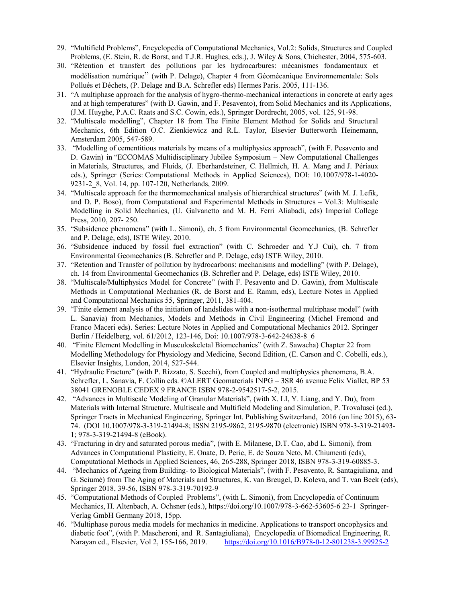- 29. "Multifield Problems", Encyclopedia of Computational Mechanics, Vol.2: Solids, Structures and Coupled Problems, (E. Stein, R. de Borst, and T.J.R. Hughes, eds.), J. Wiley & Sons, Chichester, 2004, 575-603.
- 30. "Rétention et transfert des pollutions par les hydrocarbures: mécanismes fondamentaux et modélisation numérique" (with P. Delage), Chapter 4 from Géomécanique Environnementale: Sols Pollués et Déchets, (P. Delage and B.A. Schrefler eds) Hermes Paris. 2005, 111-136.
- 31. "A multiphase approach for the analysis of hygro-thermo-mechanical interactions in concrete at early ages and at high temperatures" (with D. Gawin, and F. Pesavento), from Solid Mechanics and its Applications, (J.M. Huyghe, P.A.C. Raats and S.C. Cowin, eds.), Springer Dordrecht, 2005, vol. 125, 91-98.
- 32. "Multiscale modelling", Chapter 18 from The Finite Element Method for Solids and Structural Mechanics, 6th Edition O.C. Zienkiewicz and R.L. Taylor, Elsevier Butterworth Heinemann, Amsterdam 2005, 547-589.
- 33. "Modelling of cementitious materials by means of a multiphysics approach", (with F. Pesavento and D. Gawin) in "ECCOMAS Multidisciplinary Jubilee Symposium – New Computational Challenges in Materials, Structures, and Fluids, (J. Eberhardsteiner, C. Hellmich, H. A. Mang and J. Périaux eds.), Springer (Series: Computational Methods in Applied Sciences), DOI: 10.1007/978-1-4020- 9231-2\_8, Vol. 14, pp. 107-120, Netherlands, 2009.
- 34. "Multiscale approach for the thermomechanical analysis of hierarchical structures" (with M. J. Lefik, and D. P. Boso), from Computational and Experimental Methods in Structures – Vol.3: Multiscale Modelling in Solid Mechanics, (U. Galvanetto and M. H. Ferri Aliabadi, eds) Imperial College Press, 2010, 207- 250.
- 35. "Subsidence phenomena" (with L. Simoni), ch. 5 from Environmental Geomechanics, (B. Schrefler and P. Delage, eds), ISTE Wiley, 2010.
- 36. "Subsidence induced by fossil fuel extraction" (with C. Schroeder and Y.J Cui), ch. 7 from Environmental Geomechanics (B. Schrefler and P. Delage, eds) ISTE Wiley, 2010.
- 37. "Retention and Transfer of pollution by hydrocarbons: mechanisms and modelling" (with P. Delage), ch. 14 from Environmental Geomechanics (B. Schrefler and P. Delage, eds) ISTE Wiley, 2010.
- 38. "Multiscale/Multiphysics Model for Concrete" (with F. Pesavento and D. Gawin), from Multiscale Methods in Computational Mechanics (R. de Borst and E. Ramm, eds), Lecture Notes in Applied and Computational Mechanics 55, Springer, 2011, 381-404.
- 39. "Finite element analysis of the initiation of landslides with a non-isothermal multiphase model" (with L. Sanavia) from Mechanics, Models and Methods in Civil Engineering (Michel Fremond and Franco Maceri eds). Series: Lecture Notes in Applied and Computational Mechanics 2012. Springer Berlin / Heidelberg, vol. 61/2012, 123-146, Doi: 10.1007/978-3-642-24638-8\_6
- 40. "Finite Element Modelling in Musculoskeletal Biomechanics" (with Z. Sawacha) Chapter 22 from Modelling Methodology for Physiology and Medicine, Second Edition, (E. Carson and C. Cobelli, eds.), Elsevier Insights, London, 2014, 527-544.
- 41. "Hydraulic Fracture" (with P. Rizzato, S. Secchi), from Coupled and multiphysics phenomena, B.A. Schrefler, L. Sanavia, F. Collin eds. ©ALERT Geomaterials INPG – 3SR 46 avenue Felix Viallet, BP 53 38041 GRENOBLE CEDEX 9 FRANCE ISBN 978-2-9542517-5-2, 2015.
- 42. "Advances in Multiscale Modeling of Granular Materials", (with X. LI, Y. Liang, and Y. Du), from Materials with Internal Structure. Multiscale and Multifield Modeling and Simulation, P. Trovalusci (ed.), Springer Tracts in Mechanical Engineering, Springer Int. Publishing Switzerland, 2016 (on line 2015), 63- 74. (DOI 10.1007/978-3-319-21494-8; ISSN 2195-9862, 2195-9870 (electronic) ISBN 978-3-319-21493- 1; 978-3-319-21494-8 (eBook).
- 43. "Fracturing in dry and saturated porous media", (with E. Milanese, D.T. Cao, abd L. Simoni), from Advances in Computational Plasticity, E. Onate, D. Peric, E. de Souza Neto, M. Chiumenti (eds), Computational Methods in Applied Sciences, 46, 265-288, Springer 2018, ISBN 978-3-319-60885-3.
- 44. "Mechanics of Ageing from Building- to Biological Materials", (with F. Pesavento, R. Santagiuliana, and G. Sciumè) from The Aging of Materials and Structures, K. van Breugel, D. Koleva, and T. van Beek (eds), Springer 2018, 39-56, ISBN 978-3-319-70192-9
- 45. "Computational Methods of Coupled Problems", (with L. Simoni), from Encyclopedia of Continuum Mechanics, H. Altenbach, A. Ochsner (eds.), https://doi.org/10.1007/978-3-662-53605-6 23-1 Springer-Verlag GmbH Germany 2018, 15pp.
- 46. "Multiphase porous media models for mechanics in medicine. Applications to transport oncophysics and diabetic foot", (with P. Mascheroni, and R. Santagiuliana), Encyclopedia of Biomedical Engineering, R. Narayan ed., Elsevier, Vol 2, 155-166, 2019. <https://doi.org/10.1016/B978-0-12-801238-3.99925-2>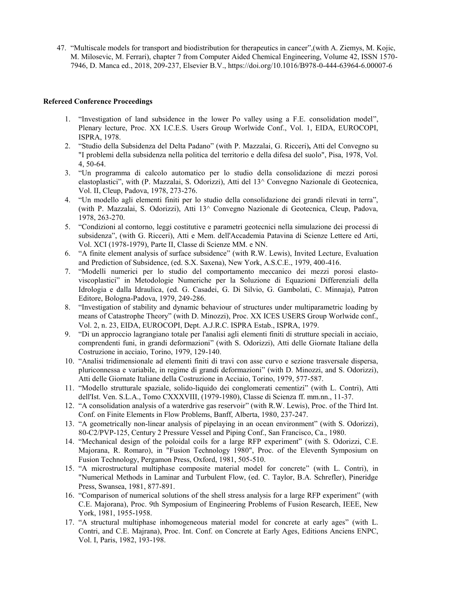47. "Multiscale models for transport and biodistribution for therapeutics in cancer",(with A. Ziemys, M. Kojic, M. Milosevic, M. Ferrari), chapter 7 from Computer Aided Chemical Engineering, Volume 42, ISSN 1570- 7946, D. Manca ed., 2018, 209-237, Elsevier B.V., https://doi.org/10.1016/B978-0-444-63964-6.00007-6

# **Refereed Conference Proceedings**

- 1. "Investigation of land subsidence in the lower Po valley using a F.E. consolidation model", Plenary lecture, Proc. XX I.C.E.S. Users Group Worlwide Conf., Vol. 1, EIDA, EUROCOPI, ISPRA, 1978.
- 2. "Studio della Subsidenza del Delta Padano" (with P. Mazzalai, G. Ricceri)**,** Atti del Convegno su "I problemi della subsidenza nella politica del territorio e della difesa del suolo", Pisa, 1978, Vol. 4, 50-64.
- 3. "Un programma di calcolo automatico per lo studio della consolidazione di mezzi porosi elastoplastici", with (P. Mazzalai, S. Odorizzi), Atti del 13^ Convegno Nazionale di Geotecnica, Vol. II, Cleup, Padova, 1978, 273-276.
- 4. "Un modello agli elementi finiti per lo studio della consolidazione dei grandi rilevati in terra", (with P. Mazzalai, S. Odorizzi), Atti 13^ Convegno Nazionale di Geotecnica, Cleup, Padova, 1978, 263-270.
- 5. "Condizioni al contorno, leggi costitutive e parametri geotecnici nella simulazione dei processi di subsidenza", (with G. Ricceri), Atti e Mem. dell'Accademia Patavina di Scienze Lettere ed Arti, Vol. XCI (1978-1979), Parte II, Classe di Scienze MM. e NN.
- 6. "A finite element analysis of surface subsidence" (with R.W. Lewis), Invited Lecture, Evaluation and Prediction of Subsidence, (ed. S.X. Saxena), New York, A.S.C.E., 1979, 400-416.
- 7. "Modelli numerici per lo studio del comportamento meccanico dei mezzi porosi elastoviscoplastici" in Metodologie Numeriche per la Soluzione di Equazioni Differenziali della Idrologia e dalla Idraulica, (ed. G. Casadei, G. Di Silvio, G. Gambolati, C. Minnaja), Patron Editore, Bologna-Padova, 1979, 249-286.
- 8. "Investigation of stability and dynamic behaviour of structures under multiparametric loading by means of Catastrophe Theory" (with D. Minozzi), Proc. XX ICES USERS Group Worlwide conf., Vol. 2, n. 23, EIDA, EUROCOPI, Dept. A.J.R.C. ISPRA Estab., ISPRA, 1979.
- 9. "Di un approccio lagrangiano totale per l'analisi agli elementi finiti di strutture speciali in acciaio, comprendenti funi, in grandi deformazioni" (with S. Odorizzi), Atti delle Giornate Italiane della Costruzione in acciaio, Torino, 1979, 129-140.
- 10. "Analisi tridimensionale ad elementi finiti di travi con asse curvo e sezione trasversale dispersa, pluriconnessa e variabile, in regime di grandi deformazioni" (with D. Minozzi, and S. Odorizzi), Atti delle Giornate Italiane della Costruzione in Acciaio, Torino, 1979, 577-587.
- 11. "Modello strutturale spaziale, solido-liquido dei conglomerati cementizi" (with L. Contri), Atti dell'Ist. Ven. S.L.A., Tomo CXXXVIII, (1979-1980), Classe di Scienza ff. mm.nn., 11-37.
- 12. "A consolidation analysis of a waterdrive gas reservoir" (with R.W. Lewis), Proc. of the Third Int. Conf. on Finite Elements in Flow Problems, Banff, Alberta, 1980, 237-247.
- 13. "A geometrically non-linear analysis of pipelaying in an ocean environment" (with S. Odorizzi), 80-C2/PVP-125, Century 2 Pressure Vessel and Piping Conf., San Francisco, Ca., 1980.
- 14. "Mechanical design of the poloidal coils for a large RFP experiment" (with S. Odorizzi, C.E. Majorana, R. Romaro), in "Fusion Technology 1980", Proc. of the Eleventh Symposium on Fusion Technology, Pergamon Press, Oxford, 1981, 505-510.
- 15. "A microstructural multiphase composite material model for concrete" (with L. Contri), in "Numerical Methods in Laminar and Turbulent Flow, (ed. C. Taylor, B.A. Schrefler), Pineridge Press, Swansea, 1981, 877-891.
- 16. "Comparison of numerical solutions of the shell stress analysis for a large RFP experiment" (with C.E. Majorana), Proc. 9th Symposium of Engineering Problems of Fusion Research, IEEE, New York, 1981, 1955-1958.
- 17. "A structural multiphase inhomogeneous material model for concrete at early ages" (with L. Contri, and C.E. Majrana), Proc. Int. Conf. on Concrete at Early Ages, Editions Anciens ENPC, Vol. I, Paris, 1982, 193-198.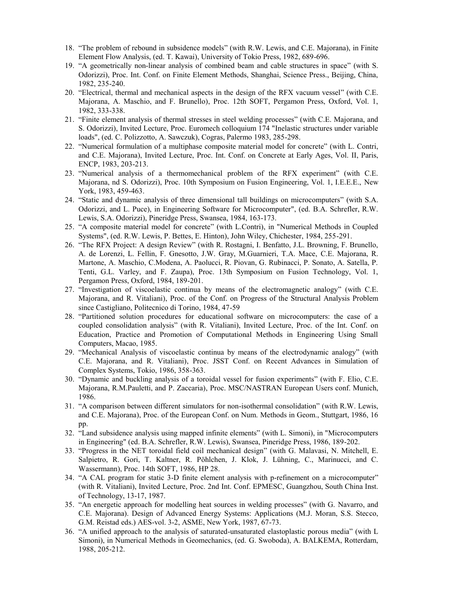- 18. "The problem of rebound in subsidence models" (with R.W. Lewis, and C.E. Majorana), in Finite Element Flow Analysis, (ed. T. Kawai), University of Tokio Press, 1982, 689-696.
- 19. "A geometrically non-linear analysis of combined beam and cable structures in space" (with S. Odorizzi), Proc. Int. Conf. on Finite Element Methods, Shanghai, Science Press., Beijing, China, 1982, 235-240.
- 20. "Electrical, thermal and mechanical aspects in the design of the RFX vacuum vessel" (with C.E. Majorana, A. Maschio, and F. Brunello), Proc. 12th SOFT, Pergamon Press, Oxford, Vol. 1, 1982, 333-338.
- 21. "Finite element analysis of thermal stresses in steel welding processes" (with C.E. Majorana, and S. Odorizzi), Invited Lecture, Proc. Euromech colloquium 174 "Inelastic structures under variable loads", (ed. C. Polizzotto, A. Sawczuk), Cogras, Palermo 1983, 285-298.
- 22. "Numerical formulation of a multiphase composite material model for concrete" (with L. Contri, and C.E. Majorana), Invited Lecture, Proc. Int. Conf. on Concrete at Early Ages, Vol. II, Paris, ENCP, 1983, 203-213.
- 23. "Numerical analysis of a thermomechanical problem of the RFX experiment" (with C.E. Majorana, nd S. Odorizzi), Proc. 10th Symposium on Fusion Engineering, Vol. 1, I.E.E.E., New York, 1983, 459-463.
- 24. "Static and dynamic analysis of three dimensional tall buildings on microcomputers" (with S.A. Odorizzi, and L. Puce), in Engineering Software for Microcomputer", (ed. B.A. Schrefler, R.W. Lewis, S.A. Odorizzi), Pineridge Press, Swansea, 1984, 163-173.
- 25. "A composite material model for concrete" (with L.Contri), in "Numerical Methods in Coupled Systems", (ed. R.W. Lewis, P. Bettes, E. Hinton), John Wiley, Chichester, 1984, 255-291.
- 26. "The RFX Project: A design Review" (with R. Rostagni, I. Benfatto, J.L. Browning, F. Brunello, A. de Lorenzi, L. Fellin, F. Gnesotto, J.W. Gray, M.Guarnieri, T.A. Mace, C.E. Majorana, R. Martone, A. Maschio, C.Modena, A. Paolucci, R. Piovan, G. Rubinacci, P. Sonato, A. Satella, P. Tenti, G.L. Varley, and F. Zaupa), Proc. 13th Symposium on Fusion Technology, Vol. 1, Pergamon Press, Oxford, 1984, 189-201.
- 27. "Investigation of viscoelastic continua by means of the electromagnetic analogy" (with C.E. Majorana, and R. Vitaliani), Proc. of the Conf. on Progress of the Structural Analysis Problem since Castigliano, Politecnico di Torino, 1984, 47-59
- 28. "Partitioned solution procedures for educational software on microcomputers: the case of a coupled consolidation analysis" (with R. Vitaliani), Invited Lecture, Proc. of the Int. Conf. on Education, Practice and Promotion of Computational Methods in Engineering Using Small Computers, Macao, 1985.
- 29. "Mechanical Analysis of viscoelastic continua by means of the electrodynamic analogy" (with C.E. Majorana, and R. Vitaliani), Proc. JSST Conf. on Recent Advances in Simulation of Complex Systems, Tokio, 1986, 358-363.
- 30. "Dynamic and buckling analysis of a toroidal vessel for fusion experiments" (with F. Elio, C.E. Majorana, R.M.Pauletti, and P. Zaccaria), Proc. MSC/NASTRAN European Users conf. Munich, 1986.
- 31. "A comparison between different simulators for non-isothermal consolidation" (with R.W. Lewis, and C.E. Majorana), Proc. of the European Conf. on Num. Methods in Geom., Stuttgart, 1986, 16 pp.
- 32. "Land subsidence analysis using mapped infinite elements" (with L. Simoni), in "Microcomputers in Engineering" (ed. B.A. Schrefler, R.W. Lewis), Swansea, Pineridge Press, 1986, 189-202.
- 33. "Progress in the NET toroidal field coil mechanical design" (with G. Malavasi, N. Mitchell, E. Salpietro, R. Gori, T. Kaltner, R. Pöhlchen, J. Klok, J. Lühning, C., Marinucci, and C. Wassermann), Proc. 14th SOFT, 1986, HP 28.
- 34. "A CAL program for static 3-D finite element analysis with p-refinement on a microcomputer" (with R. Vitaliani), Invited Lecture, Proc. 2nd Int. Conf. EPMESC, Guangzhou, South China Inst. of Technology, 13-17, 1987.
- 35. "An energetic approach for modelling heat sources in welding processes" (with G. Navarro, and C.E. Majorana). Design of Advanced Energy Systems: Applications (M.J. Moran, S.S. Stecco, G.M. Reistad eds.) AES-vol. 3-2, ASME, New York, 1987, 67-73.
- 36. "A unified approach to the analysis of saturated-unsaturated elastoplastic porous media" (with L Simoni), in Numerical Methods in Geomechanics, (ed. G. Swoboda), A. BALKEMA, Rotterdam, 1988, 205-212.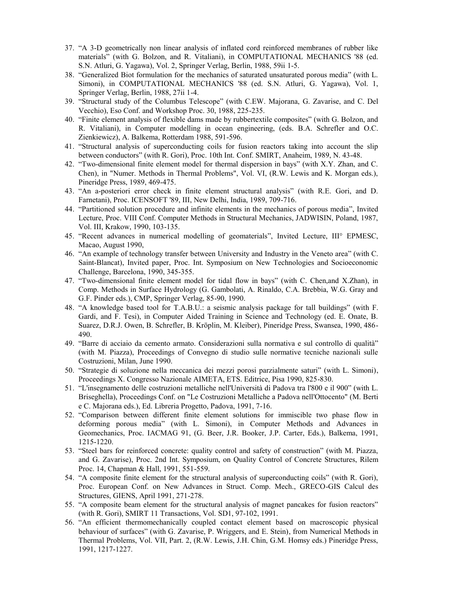- 37. "A 3-D geometrically non linear analysis of inflated cord reinforced membranes of rubber like materials" (with G. Bolzon, and R. Vitaliani), in COMPUTATIONAL MECHANICS '88 (ed. S.N. Atluri, G. Yagawa), Vol. 2, Springer Verlag, Berlin, 1988, 59ii 1-5.
- 38. "Generalized Biot formulation for the mechanics of saturated unsaturated porous media" (with L. Simoni), in COMPUTATIONAL MECHANICS '88 (ed. S.N. Atluri, G. Yagawa), Vol. 1, Springer Verlag, Berlin, 1988, 27ii 1-4.
- 39. "Structural study of the Columbus Telescope" (with C.EW. Majorana, G. Zavarise, and C. Del Vecchio), Eso Conf. and Workshop Proc. 30, 1988, 225-235.
- 40. "Finite element analysis of flexible dams made by rubbertextile composites" (with G. Bolzon, and R. Vitaliani), in Computer modelling in ocean engineering, (eds. B.A. Schrefler and O.C. Zienkiewicz), A. Balkema, Rotterdam 1988, 591-596.
- 41. "Structural analysis of superconducting coils for fusion reactors taking into account the slip between conductors" (with R. Gori), Proc. 10th Int. Conf. SMIRT, Anaheim, 1989, N. 43-48.
- 42. "Two-dimensional finite element model for thermal dispersion in bays" (with X.Y. Zhan, and C. Chen), in "Numer. Methods in Thermal Problems", Vol. VI, (R.W. Lewis and K. Morgan eds.), Pineridge Press, 1989, 469-475.
- 43. "An a-posteriori error check in finite element structural analysis" (with R.E. Gori, and D. Farnetani), Proc. ICENSOFT '89, III, New Delhi, India, 1989, 709-716.
- 44. "Partitioned solution procedure and infinite elements in the mechanics of porous media", Invited Lecture, Proc. VIII Conf. Computer Methods in Structural Mechanics, JADWISIN, Poland, 1987, Vol. III, Krakow, 1990, 103-135.
- 45. "Recent advances in numerical modelling of geomaterials", Invited Lecture, III° EPMESC, Macao, August 1990,
- 46. "An example of technology transfer between University and Industry in the Veneto area" (with C. Saint-Blancat), Invited paper, Proc. Int. Symposium on New Technologies and Socioeconomic Challenge, Barcelona, 1990, 345-355.
- 47. "Two-dimensional finite element model for tidal flow in bays" (with C. Chen,and X.Zhan), in Comp. Methods in Surface Hydrology (G. Gambolati, A. Rinaldo, C.A. Brebbia, W.G. Gray and G.F. Pinder eds.), CMP, Springer Verlag, 85-90, 1990.
- 48. "A knowledge based tool for T.A.B.U.: a seismic analysis package for tall buildings" (with F. Gardi, and F. Tesi), in Computer Aided Training in Science and Technology (ed. E. Onate, B. Suarez, D.R.J. Owen, B. Schrefler, B. Kröplin, M. Kleiber), Pineridge Press, Swansea, 1990, 486- 490.
- 49. "Barre di acciaio da cemento armato. Considerazioni sulla normativa e sul controllo di qualità" (with M. Piazza), Proceedings of Convegno di studio sulle normative tecniche nazionali sulle Costruzioni, Milan, June 1990.
- 50. "Strategie di soluzione nella meccanica dei mezzi porosi parzialmente saturi" (with L. Simoni), Proceedings X. Congresso Nazionale AIMETA, ETS. Editrice, Pisa 1990, 825-830.
- 51. "L'insegnamento delle costruzioni metalliche nell'Università di Padova tra l'800 e il 900" (with L. Briseghella), Proceedings Conf. on "Le Costruzioni Metalliche a Padova nell'Ottocento" (M. Berti e C. Majorana eds.), Ed. Libreria Progetto, Padova, 1991, 7-16.
- 52. "Comparison between different finite element solutions for immiscible two phase flow in deforming porous media" (with L. Simoni), in Computer Methods and Advances in Geomechanics, Proc. IACMAG 91, (G. Beer, J.R. Booker, J.P. Carter, Eds.), Balkema, 1991, 1215-1220.
- 53. "Steel bars for reinforced concrete: quality control and safety of construction" (with M. Piazza, and G. Zavarise), Proc. 2nd Int. Symposium, on Quality Control of Concrete Structures, Rilem Proc. 14, Chapman & Hall, 1991, 551-559.
- 54. "A composite finite element for the structural analysis of superconducting coils" (with R. Gori), Proc. European Conf. on New Advances in Struct. Comp. Mech., GRECO-GIS Calcul des Structures, GIENS, April 1991, 271-278.
- 55. "A composite beam element for the structural analysis of magnet pancakes for fusion reactors" (with R. Gori), SMIRT 11 Transactions, Vol. SD1, 97-102, 1991.
- 56. "An efficient thermomechanically coupled contact element based on macroscopic physical behaviour of surfaces" (with G. Zavarise, P. Wriggers, and E. Stein), from Numerical Methods in Thermal Problems, Vol. VII, Part. 2, (R.W. Lewis, J.H. Chin, G.M. Homsy eds.) Pineridge Press, 1991, 1217-1227.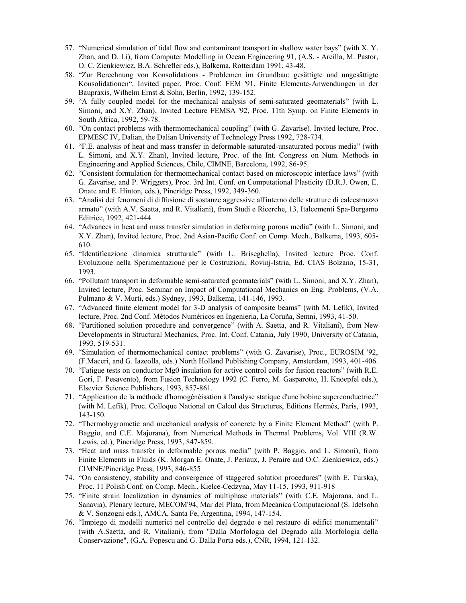- 57. "Numerical simulation of tidal flow and contaminant transport in shallow water bays" (with X. Y. Zhan, and D. Li), from Computer Modelling in Ocean Engineering 91, (A.S. - Arcilla, M. Pastor, O. C. Zienkiewicz, B.A. Schrefler eds.), Balkema, Rotterdam 1991, 43-48.
- 58. "Zur Berechnung von Konsolidations Problemen im Grundbau: gesättigte und ungesättigte Konsolidationen", Invited paper, Proc. Conf. FEM '91, Finite Elemente-Anwendungen in der Baupraxis, Wilhelm Ernst & Sohn, Berlin, 1992, 139-152.
- 59. "A fully coupled model for the mechanical analysis of semi-saturated geomaterials" (with L. Simoni, and X.Y. Zhan), Invited Lecture FEMSA '92, Proc. 11th Symp. on Finite Elements in South Africa, 1992, 59-78.
- 60. "On contact problems with thermomechanical coupling" (with G. Zavarise). Invited lecture, Proc. EPMESC IV, Dalian, the Dalian University of Technology Press 1992, 728-734.
- 61. "F.E. analysis of heat and mass transfer in deformable saturated-unsaturated porous media" (with L. Simoni, and X.Y. Zhan), Invited lecture, Proc. of the Int. Congress on Num. Methods in Engineering and Applied Sciences, Chile, CIMNE, Barcelona, 1992, 86-95.
- 62. "Consistent formulation for thermomechanical contact based on microscopic interface laws" (with G. Zavarise, and P. Wriggers), Proc. 3rd Int. Conf. on Computational Plasticity (D.R.J. Owen, E. Onate and E. Hinton, eds.), Pineridge Press, 1992, 349-360.
- 63. "Analisi dei fenomeni di diffusione di sostanze aggressive all'interno delle strutture di calcestruzzo armato" (with A.V. Saetta, and R. Vitaliani), from Studi e Ricerche, 13, Italcementi Spa-Bergamo Editrice, 1992, 421-444.
- 64. "Advances in heat and mass transfer simulation in deforming porous media" (with L. Simoni, and X.Y. Zhan), Invited lecture, Proc. 2nd Asian-Pacific Conf. on Comp. Mech., Balkema, 1993, 605- 610.
- 65. "Identificazione dinamica strutturale" (with L. Briseghella), Invited lecture Proc. Conf. Evoluzione nella Sperimentazione per le Costruzioni, Rovinj-Istria, Ed. CIAS Bolzano, 15-31, 1993.
- 66. "Pollutant transport in deformable semi-saturated geomaterials" (with L. Simoni, and X.Y. Zhan), Invited lecture, Proc. Seminar on Impact of Computational Mechanics on Eng. Problems, (V.A. Pulmano & V. Murti, eds.) Sydney, 1993, Balkema, 141-146, 1993.
- 67. "Advanced finite element model for 3-D analysis of composite beams" (with M. Lefik), Invited lecture, Proc. 2nd Conf. Métodos Numéricos en Ingenieria, La Coruña, Semni, 1993, 41-50.
- 68. "Partitioned solution procedure and convergence" (with A. Saetta, and R. Vitaliani), from New Developments in Structural Mechanics, Proc. Int. Conf. Catania, July 1990, University of Catania, 1993, 519-531.
- 69. "Simulation of thermomechanical contact problems" (with G. Zavarise), Proc., EUROSIM '92, (F.Maceri, and G. Iazeolla, eds.) North Holland Publishing Company, Amsterdam, 1993, 401-406.
- 70. "Fatigue tests on conductor Mg0 insulation for active control coils for fusion reactors" (with R.E. Gori, F. Pesavento), from Fusion Technology 1992 (C. Ferro, M. Gasparotto, H. Knoepfel eds.), Elsevier Science Publishers, 1993, 857-861.
- 71. "Application de la méthode d'homogénéisation à l'analyse statique d'une bobine superconductrice" (with M. Lefik), Proc. Colloque National en Calcul des Structures, Editions Hermès, Paris, 1993, 143-150.
- 72. "Thermohygrometic and mechanical analysis of concrete by a Finite Element Method" (with P. Baggio, and C.E. Majorana), from Numerical Methods in Thermal Problems, Vol. VIII (R.W. Lewis, ed.), Pineridge Press, 1993, 847-859.
- 73. "Heat and mass transfer in deformable porous media" (with P. Baggio, and L. Simoni), from Finite Elements in Fluids (K. Morgan E. Onate, J. Periaux, J. Peraire and O.C. Zienkiewicz, eds.) CIMNE/Pineridge Press, 1993, 846-855
- 74. "On consistency, stability and convergence of staggered solution procedures" (with E. Turska), Proc. 11 Polish Conf. on Comp. Mech., Kielce-Cedzyna, May 11-15, 1993, 911-918
- 75. "Finite strain localization in dynamics of multiphase materials" (with C.E. Majorana, and L. Sanavia), Plenary lecture, MECOM'94, Mar del Plata, from Mecànica Computacional (S. Idelsohn & V. Sonzogni eds.), AMCA, Santa Fe, Argentina, 1994, 147-154.
- 76. "Impiego di modelli numerici nel controllo del degrado e nel restauro di edifici monumentali" (with A.Saetta, and R. Vitaliani), from "Dalla Morfologia del Degrado alla Morfologia della Conservazione", (G.A. Popescu and G. Dalla Porta eds.), CNR, 1994, 121-132.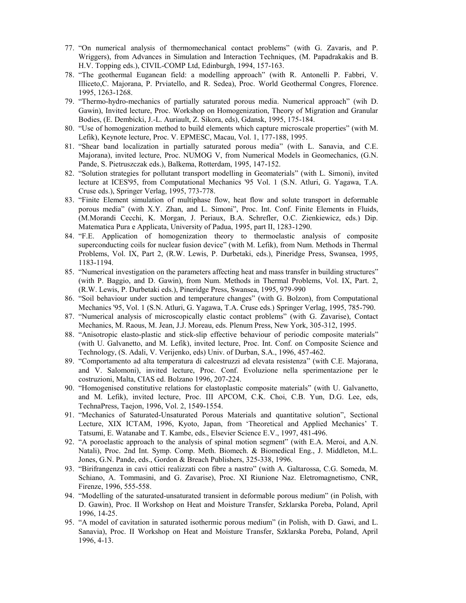- 77. "On numerical analysis of thermomechanical contact problems" (with G. Zavaris, and P. Wriggers), from Advances in Simulation and Interaction Techniques, (M. Papadrakakis and B. H.V. Topping eds.), CIVIL-COMP Ltd, Edinburgh, 1994, 157-163.
- 78. "The geothermal Euganean field: a modelling approach" (with R. Antonelli P. Fabbri, V. Illiceto,C. Majorana, P. Prviatello, and R. Sedea), Proc. World Geothermal Congres, Florence. 1995, 1263-1268.
- 79. "Thermo-hydro-mechanics of partially saturated porous media. Numerical approach" (wih D. Gawin), Invited lecture, Proc. Workshop on Homogenization, Theory of Migration and Granular Bodies, (E. Dembicki, J.-L. Auriault, Z. Sikora, eds), Gdansk, 1995, 175-184.
- 80. "Use of homogenization method to build elements which capture microscale properties" (with M. Lefik), Keynote lecture, Proc. V. EPMESC, Macau, Vol. 1, 177-188, 1995.
- 81. "Shear band localization in partially saturated porous media" (with L. Sanavia, and C.E. Majorana), invited lecture, Proc. NUMOG V, from Numerical Models in Geomechanics, (G.N. Pande, S. Pietruszczak eds.), Balkema, Rotterdam, 1995, 147-152.
- 82. "Solution strategies for pollutant transport modelling in Geomaterials" (with L. Simoni), invited lecture at ICES'95, from Computational Mechanics '95 Vol. 1 (S.N. Atluri, G. Yagawa, T.A. Cruse eds.), Springer Verlag, 1995, 773-778.
- 83. "Finite Element simulation of multiphase flow, heat flow and solute transport in deformable porous media" (with X.Y. Zhan, and L. Simoni", Proc. Int. Conf. Finite Elements in Fluids, (M.Morandi Cecchi, K. Morgan, J. Periaux, B.A. Schrefler, O.C. Zienkiewicz, eds.) Dip. Matematica Pura e Applicata, University of Padua, 1995, part II, 1283-1290.
- 84. "F.E. Application of homogenization theory to thermoelastic analysis of composite superconducting coils for nuclear fusion device" (with M. Lefik), from Num. Methods in Thermal Problems, Vol. IX, Part 2, (R.W. Lewis, P. Durbetaki, eds.), Pineridge Press, Swansea, 1995, 1183-1194.
- 85. "Numerical investigation on the parameters affecting heat and mass transfer in building structures" (with P. Baggio, and D. Gawin), from Num. Methods in Thermal Problems, Vol. IX, Part. 2, (R.W. Lewis, P. Durbetaki eds.), Pineridge Press, Swansea, 1995, 979-990
- 86. "Soil behaviour under suction and temperature changes" (with G. Bolzon), from Computational Mechanics '95, Vol. 1 (S.N. Atluri, G. Yagawa, T.A. Cruse eds.) Springer Verlag, 1995, 785-790.
- 87. "Numerical analysis of microscopically elastic contact problems" (with G. Zavarise), Contact Mechanics, M. Raous, M. Jean, J.J. Moreau, eds. Plenum Press, New York, 305-312, 1995.
- 88. "Anisotropic elasto-plastic and stick-slip effective behaviour of periodic composite materials" (with U. Galvanetto, and M. Lefik), invited lecture, Proc. Int. Conf. on Composite Science and Technology, (S. Adali, V. Verijenko, eds) Univ. of Durban, S.A., 1996, 457-462.
- 89. "Comportamento ad alta temperatura di calcestruzzi ad elevata resistenza" (with C.E. Majorana, and V. Salomoni), invited lecture, Proc. Conf. Evoluzione nella sperimentazione per le costruzioni, Malta, CIAS ed. Bolzano 1996, 207-224.
- 90. "Homogenised constitutive relations for elastoplastic composite materials" (with U. Galvanetto, and M. Lefik), invited lecture, Proc. III APCOM, C.K. Choi, C.B. Yun, D.G. Lee, eds, TechnaPress, Taejon, 1996, Vol. 2, 1549-1554.
- 91. "Mechanics of Saturated-Unsaturated Porous Materials and quantitative solution", Sectional Lecture, XIX ICTAM, 1996, Kyoto, Japan, from 'Theoretical and Applied Mechanics' T. Tatsumi, E. Watanabe and T. Kambe, eds., Elsevier Science E.V., 1997, 481-496.
- 92. "A poroelastic approach to the analysis of spinal motion segment" (with E.A. Meroi, and A.N. Natali), Proc. 2nd Int. Symp. Comp. Meth. Biomech. & Biomedical Eng., J. Middleton, M.L. Jones, G.N. Pande, eds., Gordon & Breach Publishers, 325-338, 1996.
- 93. "Birifrangenza in cavi ottici realizzati con fibre a nastro" (with A. Galtarossa, C.G. Someda, M. Schiano, A. Tommasini, and G. Zavarise), Proc. XI Riunione Naz. Eletromagnetismo, CNR, Firenze, 1996, 555-558.
- 94. "Modelling of the saturated-unsaturated transient in deformable porous medium" (in Polish, with D. Gawin), Proc. II Workshop on Heat and Moisture Transfer, Szklarska Poreba, Poland, April 1996, 14-25.
- 95. "A model of cavitation in saturated isothermic porous medium" (in Polish, with D. Gawi, and L. Sanavia), Proc. II Workshop on Heat and Moisture Transfer, Szklarska Poreba, Poland, April 1996, 4-13.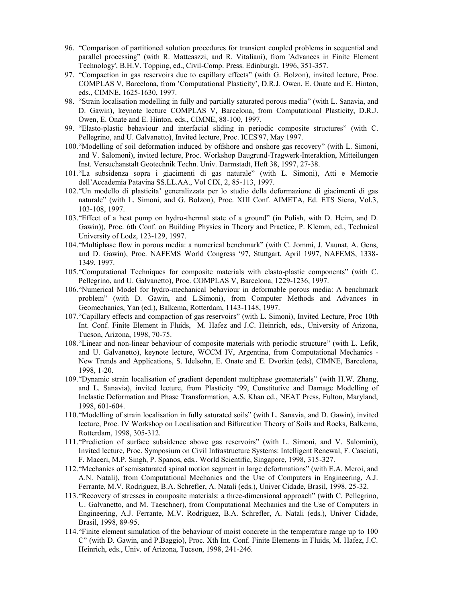- 96. "Comparison of partitioned solution procedures for transient coupled problems in sequential and parallel processing" (with R. Matteaszzi, and R. Vitaliani), from 'Advances in Finite Element Technology', B.H.V. Topping, ed., Civil-Comp. Press. Edinburgh, 1996, 351-357.
- 97. "Compaction in gas reservoirs due to capillary effects" (with G. Bolzon), invited lecture, Proc. COMPLAS V, Barcelona, from 'Computational Plasticity', D.R.J. Owen, E. Onate and E. Hinton, eds., CIMNE, 1625-1630, 1997.
- 98. "Strain localisation modelling in fully and partially saturated porous media" (with L. Sanavia, and D. Gawin), keynote lecture COMPLAS V, Barcelona, from Computational Plasticity, D.R.J. Owen, E. Onate and E. Hinton, eds., CIMNE, 88-100, 1997.
- 99. "Elasto-plastic behaviour and interfacial sliding in periodic composite structures" (with C. Pellegrino, and U. Galvanetto), Invited lecture, Proc. ICES'97, May 1997.
- 100."Modelling of soil deformation induced by offshore and onshore gas recovery" (with L. Simoni, and V. Salomoni), invited lecture, Proc. Workshop Baugrund-Tragwerk-Interaktion, Mitteilungen Inst. Versuchanstalt Geotechnik Techn. Univ. Darmstadt, Heft 38, 1997, 27-38.
- 101."La subsidenza sopra i giacimenti di gas naturale" (with L. Simoni), Atti e Memorie dell'Accademia Patavina SS.LL.AA., Vol CIX, 2, 85-113, 1997.
- 102."Un modello di plasticita' generalizzata per lo studio della deformazione di giacimenti di gas naturale" (with L. Simoni, and G. Bolzon), Proc. XIII Conf. AIMETA, Ed. ETS Siena, Vol.3, 103-108, 1997.
- 103."Effect of a heat pump on hydro-thermal state of a ground" (in Polish, with D. Heim, and D. Gawin)), Proc. 6th Conf. on Building Physics in Theory and Practice, P. Klemm, ed., Technical University of Lodz, 123-129, 1997.
- 104."Multiphase flow in porous media: a numerical benchmark" (with C. Jommi, J. Vaunat, A. Gens, and D. Gawin), Proc. NAFEMS World Congress '97, Stuttgart, April 1997, NAFEMS, 1338- 1349, 1997.
- 105."Computational Techniques for composite materials with elasto-plastic components" (with C. Pellegrino, and U. Galvanetto), Proc. COMPLAS V, Barcelona, 1229-1236, 1997.
- 106."Numerical Model for hydro-mechanical behaviour in deformable porous media: A benchmark problem" (with D. Gawin, and L.Simoni), from Computer Methods and Advances in Geomechanics, Yan (ed.), Balkema, Rotterdam, 1143-1148, 1997.
- 107."Capillary effects and compaction of gas reservoirs" (with L. Simoni), Invited Lecture, Proc 10th Int. Conf. Finite Element in Fluids, M. Hafez and J.C. Heinrich, eds., University of Arizona, Tucson, Arizona, 1998, 70-75.
- 108."Linear and non-linear behaviour of composite materials with periodic structure" (with L. Lefik, and U. Galvanetto), keynote lecture, WCCM IV, Argentina, from Computational Mechanics - New Trends and Applications, S. Idelsohn, E. Onate and E. Dvorkin (eds), CIMNE, Barcelona, 1998, 1-20.
- 109."Dynamic strain localisation of gradient dependent multiphase geomaterials" (with H.W. Zhang, and L. Sanavia), invited lecture, from Plasticity '99, Constitutive and Damage Modelling of Inelastic Deformation and Phase Transformation, A.S. Khan ed., NEAT Press, Fulton, Maryland, 1998, 601-604.
- 110."Modelling of strain localisation in fully saturated soils" (with L. Sanavia, and D. Gawin), invited lecture, Proc. IV Workshop on Localisation and Bifurcation Theory of Soils and Rocks, Balkema, Rotterdam, 1998, 305-312.
- 111."Prediction of surface subsidence above gas reservoirs" (with L. Simoni, and V. Salomini), Invited lecture, Proc. Symposium on Civil Infrastructure Systems: Intelligent Renewal, F. Casciati, F. Maceri, M.P. Singh, P. Spanos, eds., World Scientific, Singapore, 1998, 315-327.
- 112."Mechanics of semisaturated spinal motion segment in large defortmations" (with E.A. Meroi, and A.N. Natali), from Computational Mechanics and the Use of Computers in Engineering, A.J. Ferrante, M.V. Rodriguez, B.A. Schrefler, A. Natali (eds.), Univer Cidade, Brasil, 1998, 25-32.
- 113."Recovery of stresses in composite materials: a three-dimensional approach" (with C. Pellegrino, U. Galvanetto, and M. Taeschner), from Computational Mechanics and the Use of Computers in Engineering, A.J. Ferrante, M.V. Rodriguez, B.A. Schrefler, A. Natali (eds.), Univer Cidade, Brasil, 1998, 89-95.
- 114."Finite element simulation of the behaviour of moist concrete in the temperature range up to 100 C" (with D. Gawin, and P.Baggio), Proc. Xth Int. Conf. Finite Elements in Fluids, M. Hafez, J.C. Heinrich, eds., Univ. of Arizona, Tucson, 1998, 241-246.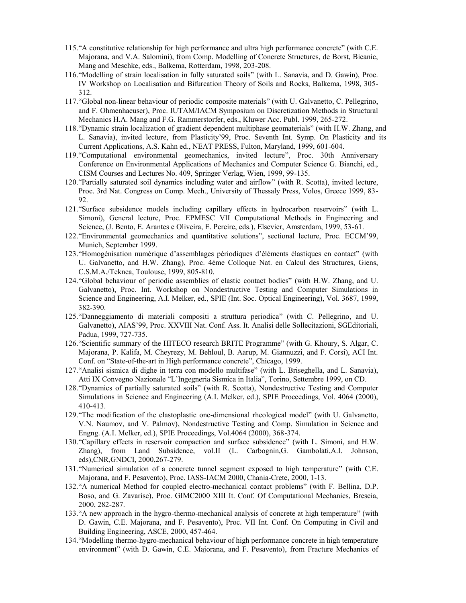- 115."A constitutive relationship for high performance and ultra high performance concrete" (with C.E. Majorana, and V.A. Salomini), from Comp. Modelling of Concrete Structures, de Borst, Bicanic, Mang and Meschke, eds., Balkema, Rotterdam, 1998, 203-208.
- 116."Modelling of strain localisation in fully saturated soils" (with L. Sanavia, and D. Gawin), Proc. IV Workshop on Localisation and Bifurcation Theory of Soils and Rocks, Balkema, 1998, 305- 312.
- 117."Global non-linear behaviour of periodic composite materials" (with U. Galvanetto, C. Pellegrino, and F. Ohmenhaeuser), Proc. IUTAM/IACM Symposium on Discretization Methods in Structural Mechanics H.A. Mang and F.G. Rammerstorfer, eds., Kluwer Acc. Publ. 1999, 265-272.
- 118."Dynamic strain localization of gradient dependent multiphase geomaterials" (with H.W. Zhang, and L. Sanavia), invited lecture, from Plasticity'99, Proc. Seventh Int. Symp. On Plasticity and its Current Applications, A.S. Kahn ed., NEAT PRESS, Fulton, Maryland, 1999, 601-604.
- 119."Computational environmental geomechanics, invited lecture", Proc. 30th Anniversary Conference on Environmental Applications of Mechanics and Computer Science G. Bianchi, ed., CISM Courses and Lectures No. 409, Springer Verlag, Wien, 1999, 99-135.
- 120."Partially saturated soil dynamics including water and airflow" (with R. Scotta), invited lecture, Proc. 3rd Nat. Congress on Comp. Mech., University of Thessaly Press, Volos, Greece 1999, 83- 92.
- 121."Surface subsidence models including capillary effects in hydrocarbon reservoirs" (with L. Simoni), General lecture, Proc. EPMESC VII Computational Methods in Engineering and Science, (J. Bento, E. Arantes e Oliveira, E. Pereire, eds.), Elsevier, Amsterdam, 1999, 53-61.
- 122."Environmental geomechanics and quantitative solutions", sectional lecture, Proc. ECCM'99, Munich, September 1999.
- 123."Homogénisation numérique d'assemblages périodiques d'éléments élastiques en contact" (with U. Galvanetto, and H.W. Zhang), Proc. 4éme Colloque Nat. en Calcul des Structures, Giens, C.S.M.A./Teknea, Toulouse, 1999, 805-810.
- 124."Global behaviour of periodic assemblies of elastic contact bodies" (with H.W. Zhang, and U. Galvanetto), Proc. Int. Workshop on Nondestructive Testing and Computer Simulations in Science and Engineering, A.I. Melker, ed., SPIE (Int. Soc. Optical Engineering), Vol. 3687, 1999, 382-390.
- 125."Danneggiamento di materiali compositi a struttura periodica" (with C. Pellegrino, and U. Galvanetto), AIAS'99, Proc. XXVIII Nat. Conf. Ass. It. Analisi delle Sollecitazioni, SGEditoriali, Padua, 1999, 727-735.
- 126."Scientific summary of the HITECO research BRITE Programme" (with G. Khoury, S. Algar, C. Majorana, P. Kalifa, M. Cheyrezy, M. Behloul, B. Aarup, M. Giannuzzi, and F. Corsi), ACI Int. Conf. on "State-of-the-art in High performance concrete", Chicago, 1999.
- 127."Analisi sismica di dighe in terra con modello multifase" (with L. Briseghella, and L. Sanavia), Atti IX Convegno Nazionale "L'Ingegneria Sismica in Italia", Torino, Settembre 1999, on CD.
- 128."Dynamics of partially saturated soils" (with R. Scotta), Nondestructive Testing and Computer Simulations in Science and Engineering (A.I. Melker, ed.), SPIE Proceedings, Vol. 4064 (2000), 410-413.
- 129."The modification of the elastoplastic one-dimensional rheological model" (with U. Galvanetto, V.N. Naumov, and V. Palmov), Nondestructive Testing and Comp. Simulation in Science and Engng. (A.I. Melker, ed.), SPIE Proceedings, Vol.4064 (2000), 368-374.
- 130."Capillary effects in reservoir compaction and surface subsidence" (with L. Simoni, and H.W. Zhang), from Land Subsidence, vol.II (L. Carbognin,G. Gambolati,A.I. Johnson, eds),CNR,GNDCI, 2000,267-279.
- 131."Numerical simulation of a concrete tunnel segment exposed to high temperature" (with C.E. Majorana, and F. Pesavento), Proc. IASS-IACM 2000, Chania-Crete, 2000, 1-13.
- 132."A numerical Method for coupled electro-mechanical contact problems" (with F. Bellina, D.P. Boso, and G. Zavarise), Proc. GIMC2000 XIII It. Conf. Of Computational Mechanics, Brescia, 2000, 282-287.
- 133."A new approach in the hygro-thermo-mechanical analysis of concrete at high temperature" (with D. Gawin, C.E. Majorana, and F. Pesavento), Proc. VII Int. Conf. On Computing in Civil and Building Engineering, ASCE, 2000, 457-464.
- 134."Modelling thermo-hygro-mechanical behaviour of high performance concrete in high temperature environment" (with D. Gawin, C.E. Majorana, and F. Pesavento), from Fracture Mechanics of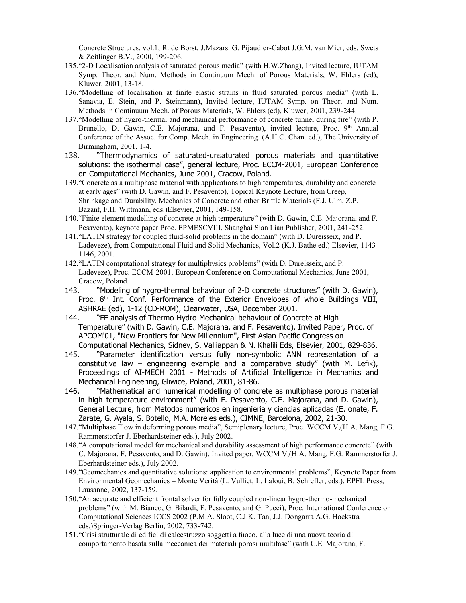Concrete Structures, vol.1, R. de Borst, J.Mazars. G. Pijaudier-Cabot J.G.M. van Mier, eds. Swets & Zeitlinger B.V., 2000, 199-206.

- 135."2-D Localisation analysis of saturated porous media" (with H.W.Zhang), Invited lecture, IUTAM Symp. Theor. and Num. Methods in Continuum Mech. of Porous Materials, W. Ehlers (ed), Kluwer, 2001, 13-18.
- 136."Modelling of localisation at finite elastic strains in fluid saturated porous media" (with L. Sanavia, E. Stein, and P. Steinmann), Invited lecture, IUTAM Symp. on Theor. and Num. Methods in Continuum Mech. of Porous Materials, W. Ehlers (ed), Kluwer, 2001, 239-244.
- 137."Modelling of hygro-thermal and mechanical performance of concrete tunnel during fire" (with P. Brunello, D. Gawin, C.E. Majorana, and F. Pesavento), invited lecture, Proc. 9<sup>th</sup> Annual Conference of the Assoc. for Comp. Mech. in Engineering. (A.H.C. Chan. ed.), The University of Birmingham, 2001, 1-4.
- 138. "Thermodynamics of saturated-unsaturated porous materials and quantitative solutions: the isothermal case", general lecture, Proc. ECCM-2001, European Conference on Computational Mechanics, June 2001, Cracow, Poland.
- 139."Concrete as a multiphase material with applications to high temperatures, durability and concrete at early ages" (with D. Gawin, and F. Pesavento), Topical Keynote Lecture, from Creep, Shrinkage and Durability, Mechanics of Concrete and other Brittle Materials (F.J. Ulm, Z.P. Bazant, F.H. Wittmann, eds.)Elsevier, 2001, 149-158.
- 140."Finite element modelling of concrete at high temperature" (with D. Gawin, C.E. Majorana, and F. Pesavento), keynote paper Proc. EPMESCVIII, Shanghai Sian Lian Publisher, 2001, 241-252.
- 141."LATIN strategy for coupled fluid-solid problems in the domain" (with D. Dureisseix, and P. Ladeveze), from Computational Fluid and Solid Mechanics, Vol.2 (K.J. Bathe ed.) Elsevier, 1143- 1146, 2001.
- 142."LATIN computational strategy for multiphysics problems" (with D. Dureisseix, and P. Ladeveze), Proc. ECCM-2001, European Conference on Computational Mechanics, June 2001, Cracow, Poland.
- 143. "Modeling of hygro-thermal behaviour of 2-D concrete structures" (with D. Gawin), Proc. 8<sup>th</sup> Int. Conf. Performance of the Exterior Envelopes of whole Buildings VIII, ASHRAE (ed), 1-12 (CD-ROM), Clearwater, USA, December 2001.
- 144. "FE analysis of Thermo-Hydro-Mechanical behaviour of Concrete at High Temperature" (with D. Gawin, C.E. Majorana, and F. Pesavento), Invited Paper, Proc. of APCOM'01, "New Frontiers for New Millennium", First Asian-Pacific Congress on Computational Mechanics, Sidney, S. Valliappan & N. Khalili Eds, Elsevier, 2001, 829-836.
- 145. "Parameter identification versus fully non-symbolic ANN representation of a constitutive law – engineering example and a comparative study" (with M. Lefik), Proceedings of AI-MECH 2001 - Methods of Artificial Intelligence in Mechanics and Mechanical Engineering, Gliwice, Poland, 2001, 81-86.
- 146. "Mathematical and numerical modelling of concrete as multiphase porous material in high temperature environment" (with F. Pesavento, C.E. Majorana, and D. Gawin), General Lecture, from Metodos numericos en ingenieria y ciencias aplicadas (E. onate, F. Zarate, G. Ayala, S. Botello, M.A. Moreles eds.), CIMNE, Barcelona, 2002, 21-30.
- 147."Multiphase Flow in deforming porous media", Semiplenary lecture, Proc. WCCM V,(H.A. Mang, F.G. Rammerstorfer J. Eberhardsteiner eds.), July 2002.
- 148."A computational model for mechanical and durability assessment of high performance concrete" (with C. Majorana, F. Pesavento, and D. Gawin), Invited paper, WCCM V,(H.A. Mang, F.G. Rammerstorfer J. Eberhardsteiner eds.), July 2002.
- 149."Geomechanics and quantitative solutions: application to environmental problems", Keynote Paper from Environmental Geomechanics – Monte Verità (L. Vulliet, L. Laloui, B. Schrefler, eds.), EPFL Press, Lausanne, 2002, 137-159.
- 150."An accurate and efficient frontal solver for fully coupled non-linear hygro-thermo-mechanical problems" (with M. Bianco, G. Bilardi, F. Pesavento, and G. Pucci), Proc. International Conference on Computational Sciences ICCS 2002 (P.M.A. Sloot, C.J.K. Tan, J.J. Dongarra A.G. Hoekstra eds.)Springer-Verlag Berlin, 2002, 733-742.
- 151."Crisi strutturale di edifici di calcestruzzo soggetti a fuoco, alla luce di una nuova teoria di comportamento basata sulla meccanica dei materiali porosi multifase" (with C.E. Majorana, F.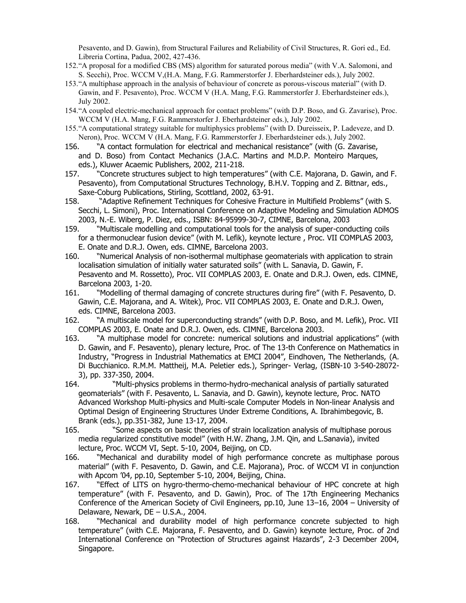Pesavento, and D. Gawin), from Structural Failures and Reliability of Civil Structures, R. Gori ed., Ed. Libreria Cortina, Padua, 2002, 427-436.

- 152."A proposal for a modified CBS (MS) algorithm for saturated porous media" (with V.A. Salomoni, and S. Secchi), Proc. WCCM V,(H.A. Mang, F.G. Rammerstorfer J. Eberhardsteiner eds.), July 2002.
- 153."A multiphase approach in the analysis of behaviour of concrete as porous-viscous material" (with D. Gawin, and F. Pesavento), Proc. WCCM V (H.A. Mang, F.G. Rammerstorfer J. Eberhardsteiner eds.), July 2002.
- 154."A coupled electric-mechanical approach for contact problems" (with D.P. Boso, and G. Zavarise), Proc. WCCM V (H.A. Mang, F.G. Rammerstorfer J. Eberhardsteiner eds.), July 2002.
- 155."A computational strategy suitable for multiphysics problems" (with D. Dureisseix, P. Ladeveze, and D. Neron), Proc. WCCM V (H.A. Mang, F.G. Rammerstorfer J. Eberhardsteiner eds.), July 2002.
- 156. "A contact formulation for electrical and mechanical resistance" (with (G. Zavarise, and D. Boso) from Contact Mechanics (J.A.C. Martins and M.D.P. Monteiro Marques, eds.), Kluwer Acaemic Publishers, 2002, 211-218.
- 157. "Concrete structures subject to high temperatures" (with C.E. Majorana, D. Gawin, and F. Pesavento), from Computational Structures Technology, B.H.V. Topping and Z. Bittnar, eds., Saxe-Coburg Publications, Stirling, Scottland, 2002, 63-91.
- 158. "Adaptive Refinement Techniques for Cohesive Fracture in Multifield Problems" (with S. Secchi, L. Simoni), Proc. International Conference on Adaptive Modeling and Simulation ADMOS 2003, N.-E. Wiberg, P. Diez, eds., ISBN: 84-95999-30-7, CIMNE, Barcelona, 2003
- 159. "Multiscale modelling and computational tools for the analysis of super-conducting coils for a thermonuclear fusion device" (with M. Lefik), keynote lecture , Proc. VII COMPLAS 2003, E. Onate and D.R.J. Owen, eds. CIMNE, Barcelona 2003.
- 160. "Numerical Analysis of non-isothermal multiphase geomaterials with application to strain localisation simulation of initially water saturated soils" (with L. Sanavia, D. Gawin, F. Pesavento and M. Rossetto), Proc. VII COMPLAS 2003, E. Onate and D.R.J. Owen, eds. CIMNE, Barcelona 2003, 1-20.
- 161. "Modelling of thermal damaging of concrete structures during fire" (with F. Pesavento, D. Gawin, C.E. Majorana, and A. Witek), Proc. VII COMPLAS 2003, E. Onate and D.R.J. Owen, eds. CIMNE, Barcelona 2003.
- 162. "A multiscale model for superconducting strands" (with D.P. Boso, and M. Lefik), Proc. VII COMPLAS 2003, E. Onate and D.R.J. Owen, eds. CIMNE, Barcelona 2003.
- 163. "A multiphase model for concrete: numerical solutions and industrial applications" (with D. Gawin, and F. Pesavento), plenary lecture, Proc. of The 13-th Conference on Mathematics in Industry, "Progress in Industrial Mathematics at EMCI 2004", Eindhoven, The Netherlands, (A. Di Bucchianico. R.M.M. Mattheij, M.A. Peletier eds.), Springer- Verlag, (ISBN-10 3-540-28072- 3), pp. 337-350, 2004.
- 164. "Multi-physics problems in thermo-hydro-mechanical analysis of partially saturated geomaterials" (with F. Pesavento, L. Sanavia, and D. Gawin), keynote lecture, Proc. NATO Advanced Workshop Multi-physics and Multi-scale Computer Models in Non-linear Analysis and Optimal Design of Engineering Structures Under Extreme Conditions, A. Ibrahimbegovic, B. Brank (eds.), pp.351-382, June 13-17, 2004.
- 165. "Some aspects on basic theories of strain localization analysis of multiphase porous media regularized constitutive model" (with H.W. Zhang, J.M. Qin, and L.Sanavia), invited lecture, Proc. WCCM VI, Sept. 5-10, 2004, Beijing, on CD.
- 166. "Mechanical and durability model of high performance concrete as multiphase porous material" (with F. Pesavento, D. Gawin, and C.E. Majorana), Proc. of WCCM VI in conjunction with Apcom '04, pp.10, September 5-10, 2004, Beijing, China.
- 167. "Effect of LITS on hygro-thermo-chemo-mechanical behaviour of HPC concrete at high temperature" (with F. Pesavento, and D. Gawin), Proc. of The 17th Engineering Mechanics Conference of the American Society of Civil Engineers, pp.10, June 13–16, 2004 – University of Delaware, Newark, DE – U.S.A., 2004.
- 168. "Mechanical and durability model of high performance concrete subjected to high temperature" (with C.E. Majorana, F. Pesavento, and D. Gawin) keynote lecture, Proc. of 2nd International Conference on "Protection of Structures against Hazards", 2-3 December 2004, Singapore.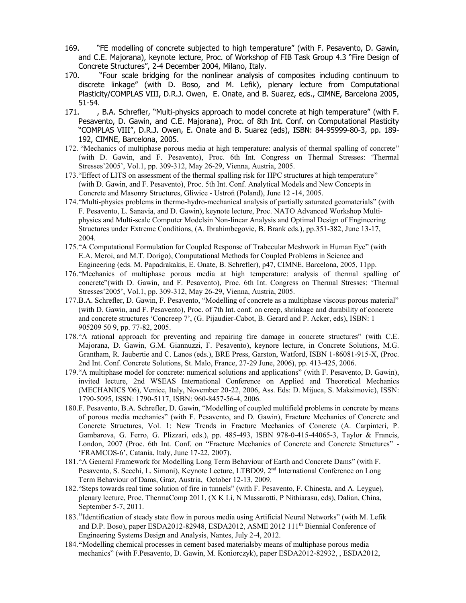- 169. "FE modelling of concrete subjected to high temperature" (with F. Pesavento, D. Gawin, and C.E. Majorana), keynote lecture, Proc. of Workshop of FIB Task Group 4.3 "Fire Design of Concrete Structures", 2-4 December 2004, Milano, Italy.
- 170. "Four scale bridging for the nonlinear analysis of composites including continuum to discrete linkage" (with D. Boso, and M. Lefik), plenary lecture from Computational Plasticity/COMPLAS VIII, D.R.J. Owen, E. Onate, and B. Suarez, eds., CIMNE, Barcelona 2005, 51-54.
- 171. , B.A. Schrefler, "Multi-physics approach to model concrete at high temperature" (with F. Pesavento, D. Gawin, and C.E. Majorana), Proc. of 8th Int. Conf. on Computational Plasticity "COMPLAS VIII", D.R.J. Owen, E. Onate and B. Suarez (eds), ISBN: 84-95999-80-3, pp. 189- 192, CIMNE, Barcelona, 2005.
- 172. "Mechanics of multiphase porous media at high temperature: analysis of thermal spalling of concrete" (with D. Gawin, and F. Pesavento), Proc. 6th Int. Congress on Thermal Stresses: 'Thermal Stresses'2005', Vol.1, pp. 309-312, May 26-29, Vienna, Austria, 2005.
- 173."Effect of LITS on assessment of the thermal spalling risk for HPC structures at high temperature" (with D. Gawin, and F. Pesavento), Proc. 5th Int. Conf. Analytical Models and New Concepts in Concrete and Masonry Structures, Gliwice - Ustroń (Poland), June 12 -14, 2005.
- 174."Multi-physics problems in thermo-hydro-mechanical analysis of partially saturated geomaterials" (with F. Pesavento, L. Sanavia, and D. Gawin), keynote lecture, Proc. NATO Advanced Workshop Multiphysics and Multi-scale Computer Modelsin Non-linear Analysis and Optimal Design of Engineering Structures under Extreme Conditions, (A. Ibrahimbegovic, B. Brank eds.), pp.351-382, June 13-17, 2004.
- 175."A Computational Formulation for Coupled Response of Trabecular Meshwork in Human Eye" (with E.A. Meroi, and M.T. Dorigo), Computational Methods for Coupled Problems in Science and Engineering (eds. M. Papadrakakis, E. Onate, B. Schrefler), p47, CIMNE, Barcelona, 2005, 11pp.
- 176."Mechanics of multiphase porous media at high temperature: analysis of thermal spalling of concrete"(with D. Gawin, and F. Pesavento), Proc. 6th Int. Congress on Thermal Stresses: 'Thermal Stresses'2005', Vol.1, pp. 309-312, May 26-29, Vienna, Austria, 2005.
- 177.B.A. Schrefler, D. Gawin, F. Pesavento, "Modelling of concrete as a multiphase viscous porous material" (with D. Gawin, and F. Pesavento), Proc. of 7th Int. conf. on creep, shrinkage and durability of concrete and concrete structures 'Concreep 7', (G. Pijaudier-Cabot, B. Gerard and P. Acker, eds), ISBN: 1 905209 50 9, pp. 77-82, 2005.
- 178."A rational approach for preventing and repairing fire damage in concrete structures" (with C.E. Majorana, D. Gawin, G.M. Giannuzzi, F. Pesavento), keynore lecture, in Concrete Solutions, M.G. Grantham, R. Jaubertie and C. Lanos (eds.), BRE Press, Garston, Watford, ISBN 1-86081-915-X, (Proc. 2nd Int. Conf. Concrete Solutions, St. Malo, France, 27-29 June, 2006), pp. 413-425, 2006.
- 179."A multiphase model for concrete: numerical solutions and applications" (with F. Pesavento, D. Gawin), invited lecture, 2nd WSEAS International Conference on Applied and Theoretical Mechanics (MECHANICS '06), Venice, Italy, November 20-22, 2006, Ass. Eds: D. Mijuca, S. Maksimovic), ISSN: 1790-5095, ISSN: 1790-5117, ISBN: 960-8457-56-4, 2006.
- 180.F. Pesavento, B.A. Schrefler, D. Gawin, "Modelling of coupled multifield problems in concrete by means of porous media mechanics" (with F. Pesavento, and D. Gawin), Fracture Mechanics of Concrete and Concrete Structures, Vol. 1: New Trends in Fracture Mechanics of Concrete (A. Carpinteri, P. Gambarova, G. Ferro, G. Plizzari, eds.), pp. 485-493, ISBN 978-0-415-44065-3, Taylor & Francis, London, 2007 (Proc. 6th Int. Conf. on "Fracture Mechanics of Concrete and Concrete Structures" - 'FRAMCOS-6', Catania, Italy, June 17-22, 2007).
- 181."A General Framework for Modelling Long Term Behaviour of Earth and Concrete Dams" (with F. Pesavento, S. Secchi, L. Simoni), Keynote Lecture, LTBD09, 2<sup>nd</sup> International Conference on Long Term Behaviour of Dams, Graz, Austria, October 12-13, 2009.
- 182."Steps towards real time solution of fire in tunnels" (with F. Pesavento, F. Chinesta, and A. Leygue), plenary lecture, Proc. ThermaComp 2011, (X K Li, N Massarotti, P Nithiarasu, eds), Dalian, China, September 5-7, 2011.
- 183."Identification of steady state flow in porous media using Artificial Neural Networks" (with M. Lefik and D.P. Boso), paper ESDA2012-82948, ESDA2012, ASME 2012 111<sup>th</sup> Biennial Conference of Engineering Systems Design and Analysis, Nantes, July 2-4, 2012.
- 184.**"**Modelling chemical processes in cement based materialsby means of multiphase porous media mechanics" (with F.Pesavento, D. Gawin, M. Koniorczyk), paper ESDA2012-82932, , ESDA2012,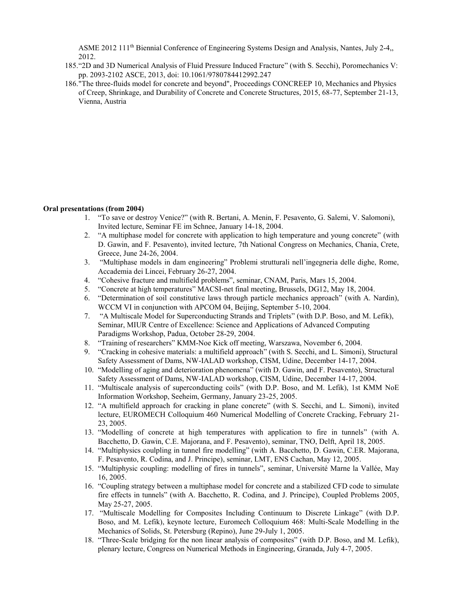ASME 2012 111<sup>th</sup> Biennial Conference of Engineering Systems Design and Analysis, Nantes, July 2-4,, 2012.

- 185."2D and 3D Numerical Analysis of Fluid Pressure Induced Fracture" (with S. Secchi), Poromechanics V: pp. 2093-2102 ASCE, 2013, doi: 10.1061/9780784412992.247
- 186."The three-fluids model for concrete and beyond", Proceedings CONCREEP 10, Mechanics and Physics of Creep, Shrinkage, and Durability of Concrete and Concrete Structures, 2015, 68-77, September 21-13, Vienna, Austria

### **Oral presentations (from 2004)**

- 1. "To save or destroy Venice?" (with R. Bertani, A. Menin, F. Pesavento, G. Salemi, V. Salomoni), Invited lecture, Seminar FE im Schnee, January 14-18, 2004.
- 2. "A multiphase model for concrete with application to high temperature and young concrete" (with D. Gawin, and F. Pesavento), invited lecture, 7th National Congress on Mechanics, Chania, Crete, Greece, June 24-26, 2004.
- 3. "Multiphase models in dam engineering" Problemi strutturali nell'ingegneria delle dighe, Rome, Accademia dei Lincei, February 26-27, 2004.
- 4. "Cohesive fracture and multifield problems", seminar, CNAM, Paris, Mars 15, 2004.
- 5. "Concrete at high temperatures" MACSI-net final meeting, Brussels, DG12, May 18, 2004.
- 6. "Determination of soil constitutive laws through particle mechanics approach" (with A. Nardin), WCCM VI in conjunction with APCOM 04, Beijing, September 5-10, 2004.
- 7. "A Multiscale Model for Superconducting Strands and Triplets" (with D.P. Boso, and M. Lefik), Seminar, MIUR Centre of Excellence: Science and Applications of Advanced Computing Paradigms Workshop, Padua, October 28-29, 2004.
- 8. "Training of researchers" KMM-Noe Kick off meeting, Warszawa, November 6, 2004.
- 9. "Cracking in cohesive materials: a multifield approach" (with S. Secchi, and L. Simoni), Structural Safety Assessment of Dams, NW-IALAD workshop, CISM, Udine, December 14-17, 2004.
- 10. "Modelling of aging and deterioration phenomena" (with D. Gawin, and F. Pesavento), Structural Safety Assessment of Dams, NW-IALAD workshop, CISM, Udine, December 14-17, 2004.
- 11. "Multiscale analysis of superconducting coils" (with D.P. Boso, and M. Lefik), 1st KMM NoE Information Workshop, Seeheim, Germany, January 23-25, 2005.
- 12. "A multifield approach for cracking in plane concrete" (with S. Secchi, and L. Simoni), invited lecture, EUROMECH Colloquium 460 Numerical Modelling of Concrete Cracking, February 21- 23, 2005.
- 13. "Modelling of concrete at high temperatures with application to fire in tunnels" (with A. Bacchetto, D. Gawin, C.E. Majorana, and F. Pesavento), seminar, TNO, Delft, April 18, 2005.
- 14. "Multiphysics coulpling in tunnel fire modelling" (with A. Bacchetto, D. Gawin, C.ER. Majorana, F. Pesavento, R. Codina, and J. Principe), seminar, LMT, ENS Cachan, May 12, 2005.
- 15. "Multiphysic coupling: modelling of fires in tunnels", seminar, Université Marne la Vallée, May 16, 2005.
- 16. "Coupling strategy between a multiphase model for concrete and a stabilized CFD code to simulate fire effects in tunnels" (with A. Bacchetto, R. Codina, and J. Principe), Coupled Problems 2005, May 25-27, 2005.
- 17. "Multiscale Modelling for Composites Including Continuum to Discrete Linkage" (with D.P. Boso, and M. Lefik), keynote lecture, Euromech Colloquium 468: Multi-Scale Modelling in the Mechanics of Solids, St. Petersburg (Repino), June 29-July 1, 2005.
- 18. "Three-Scale bridging for the non linear analysis of composites" (with D.P. Boso, and M. Lefik), plenary lecture, Congress on Numerical Methods in Engineering, Granada, July 4-7, 2005.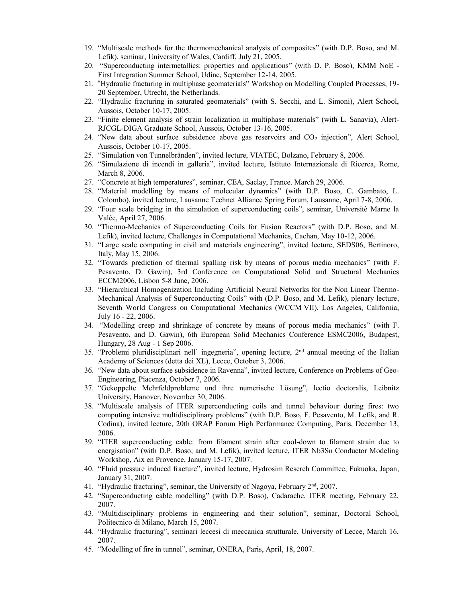- 19. "Multiscale methods for the thermomechanical analysis of composites" (with D.P. Boso, and M. Lefik), seminar, University of Wales, Cardiff, July 21, 2005.
- 20. "Superconducting intermetallics: properties and applications" (with D. P. Boso), KMM NoE First Integration Summer School, Udine, September 12-14, 2005.
- 21. "Hydraulic fracturing in multiphase geomaterials" Workshop on Modelling Coupled Processes, 19- 20 September, Utrecht, the Netherlands.
- 22. "Hydraulic fracturing in saturated geomaterials" (with S. Secchi, and L. Simoni), Alert School, Aussois, October 10-17, 2005.
- 23. "Finite element analysis of strain localization in multiphase materials" (with L. Sanavia), Alert-RJCGL-DIGA Graduate School, Aussois, October 13-16, 2005.
- 24. "New data about surface subsidence above gas reservoirs and  $CO<sub>2</sub>$  injection", Alert School, Aussois, October 10-17, 2005.
- 25. "Simulation von Tunnelbränden", invited lecture, VIATEC, Bolzano, February 8, 2006.
- 26. "Simulazione di incendi in galleria", invited lecture, Istituto Internazionale di Ricerca, Rome, March 8, 2006.
- 27. "Concrete at high temperatures", seminar, CEA, Saclay, France. March 29, 2006.
- 28. "Material modelling by means of molecular dynamics" (with D.P. Boso, C. Gambato, L. Colombo), invited lecture, Lausanne Technet Alliance Spring Forum, Lausanne, April 7-8, 2006.
- 29. "Four scale bridging in the simulation of superconducting coils", seminar, Universitè Marne la Valée, April 27, 2006.
- 30. "Thermo-Mechanics of Superconducting Coils for Fusion Reactors" (with D.P. Boso, and M. Lefik), invited lecture, Challenges in Computational Mechanics, Cachan, May 10-12, 2006.
- 31. "Large scale computing in civil and materials engineering", invited lecture, SEDS06, Bertinoro, Italy, May 15, 2006.
- 32. "Towards prediction of thermal spalling risk by means of porous media mechanics" (with F. Pesavento, D. Gawin), 3rd Conference on Computational Solid and Structural Mechanics ECCM2006, Lisbon 5-8 June, 2006.
- 33. "Hierarchical Homogenization Including Artificial Neural Networks for the Non Linear Thermo-Mechanical Analysis of Superconducting Coils" with (D.P. Boso, and M. Lefik), plenary lecture, Seventh World Congress on Computational Mechanics (WCCM VII), Los Angeles, California, July 16 - 22, 2006.
- 34. "Modelling creep and shrinkage of concrete by means of porous media mechanics" (with F. Pesavento, and D. Gawin), 6th European Solid Mechanics Conference ESMC2006, Budapest, Hungary, 28 Aug - 1 Sep 2006.
- 35. "Problemi pluridisciplinari nell' ingegneria", opening lecture, 2nd annual meeting of the Italian Academy of Sciences (detta dei XL), Lecce, October 3, 2006.
- 36. "New data about surface subsidence in Ravenna", invited lecture, Conference on Problems of Geo-Engineering, Piacenza, October 7, 2006.
- 37. "Gekoppelte Mehrfeldprobleme und ihre numerische Lösung", lectio doctoralis, Leibnitz University, Hanover, November 30, 2006.
- 38. "Multiscale analysis of ITER superconducting coils and tunnel behaviour during fires: two computing intensive multidisciplinary problems" (with D.P. Boso, F. Pesavento, M. Lefik, and R. Codina), invited lecture, 20th ORAP Forum High Performance Computing, Paris, December 13, 2006.
- 39. "ITER superconducting cable: from filament strain after cool-down to filament strain due to energisation" (with D.P. Boso, and M. Lefik), invited lecture, ITER Nb3Sn Conductor Modeling Workshop, Aix en Provence, January 15-17, 2007.
- 40. "Fluid pressure induced fracture", invited lecture, Hydrosim Reserch Committee, Fukuoka, Japan, January 31, 2007.
- 41. "Hydraulic fracturing", seminar, the University of Nagoya, February 2<sup>nd</sup>, 2007.
- 42. "Superconducting cable modelling" (with D.P. Boso), Cadarache, ITER meeting, February 22, 2007.
- 43. "Multidisciplinary problems in engineering and their solution", seminar, Doctoral School, Politecnico di Milano, March 15, 2007.
- 44. "Hydraulic fracturing", seminari leccesi di meccanica strutturale, University of Lecce, March 16, 2007.
- 45. "Modelling of fire in tunnel", seminar, ONERA, Paris, April, 18, 2007.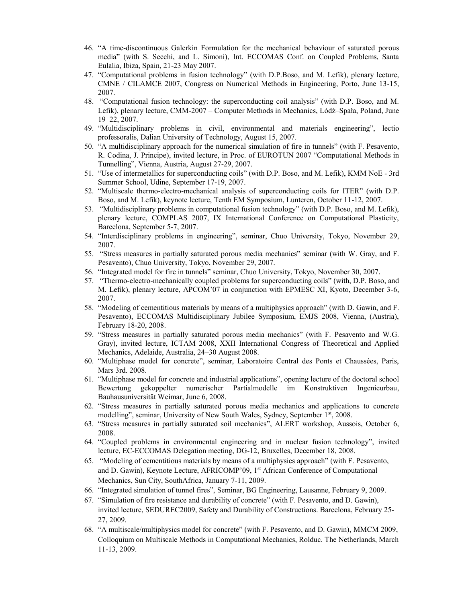- 46. "A time-discontinuous Galerkin Formulation for the mechanical behaviour of saturated porous media" (with S. Secchi, and L. Simoni), Int. ECCOMAS Conf. on Coupled Problems, Santa Eulalia, Ibiza, Spain, 21-23 May 2007.
- 47. "Computational problems in fusion technology" (with D.P.Boso, and M. Lefik), plenary lecture, CMNE / CILAMCE 2007, Congress on Numerical Methods in Engineering, Porto, June 13-15, 2007.
- 48. "Computational fusion technology: the superconducting coil analysis" (with D.P. Boso, and M. Lefik), plenary lecture, CMM-2007 – Computer Methods in Mechanics, Łódź–Spała, Poland, June 19–22, 2007.
- 49. "Multidisciplinary problems in civil, environmental and materials engineering", lectio professoralis, Dalian University of Technology, August 15, 2007.
- 50. "A multidisciplinary approach for the numerical simulation of fire in tunnels" (with F. Pesavento, R. Codina, J. Principe), invited lecture, in Proc. of EUROTUN 2007 "Computational Methods in Tunnelling", Vienna, Austria, August 27-29, 2007.
- 51. "Use of intermetallics for superconducting coils" (with D.P. Boso, and M. Lefik), KMM NoE 3rd Summer School, Udine, September 17-19, 2007.
- 52. "Multiscale thermo-electro-mechanical analysis of superconducting coils for ITER" (with D.P. Boso, and M. Lefik), keynote lecture, Tenth EM Symposium, Lunteren, October 11-12, 2007.
- 53. "Multidisciplinary problems in computational fusion technology" (with D.P. Boso, and M. Lefik), plenary lecture, COMPLAS 2007, IX International Conference on Computational Plasticity, Barcelona, September 5-7, 2007.
- 54. "Interdisciplinary problems in engineering", seminar, Chuo University, Tokyo, November 29, 2007.
- 55. "Stress measures in partially saturated porous media mechanics" seminar (with W. Gray, and F. Pesavento), Chuo University, Tokyo, November 29, 2007.
- 56. "Integrated model for fire in tunnels" seminar, Chuo University, Tokyo, November 30, 2007.
- 57. "Thermo-electro-mechanically coupled problems for superconducting coils" (with, D.P. Boso, and M. Lefik), plenary lecture, APCOM'07 in conjunction with EPMESC XI, Kyoto, December 3-6, 2007.
- 58. "Modeling of cementitious materials by means of a multiphysics approach" (with D. Gawin, and F. Pesavento), ECCOMAS Multidisciplinary Jubilee Symposium, EMJS 2008, Vienna, (Austria), February 18-20, 2008.
- 59. "Stress measures in partially saturated porous media mechanics" (with F. Pesavento and W.G. Gray), invited lecture, ICTAM 2008, XXII International Congress of Theoretical and Applied Mechanics, Adelaide, Australia, 24–30 August 2008.
- 60. "Multiphase model for concrete", seminar, Laboratoire Central des Ponts et Chaussées, Paris, Mars 3rd. 2008.
- 61. "Multiphase model for concrete and industrial applications", opening lecture of the doctoral school Bewertung gekoppelter numerischer Partialmodelle im Konstruktiven Ingenieurbau, Bauhausuniversität Weimar, June 6, 2008.
- 62. "Stress measures in partially saturated porous media mechanics and applications to concrete modelling", seminar, University of New South Wales, Sydney, September 1st, 2008.
- 63. "Stress measures in partially saturated soil mechanics", ALERT workshop, Aussois, October 6, 2008.
- 64. "Coupled problems in environmental engineering and in nuclear fusion technology", invited lecture, EC-ECCOMAS Delegation meeting, DG-12, Bruxelles, December 18, 2008.
- 65. "Modeling of cementitious materials by means of a multiphysics approach" (with F. Pesavento, and D. Gawin), Keynote Lecture, AFRICOMP'09, 1<sup>st</sup> African Conference of Computational Mechanics, Sun City, SouthAfrica, January 7-11, 2009.
- 66. "Integrated simulation of tunnel fires", Seminar, BG Engineering, Lausanne, February 9, 2009.
- 67. "Simulation of fire resistance and durability of concrete" (with F. Pesavento, and D. Gawin), invited lecture, SEDUREC2009, Safety and Durability of Constructions. Barcelona, February 25- 27, 2009.
- 68. "A multiscale/multiphysics model for concrete" (with F. Pesavento, and D. Gawin), MMCM 2009, Colloquium on Multiscale Methods in Computational Mechanics, Rolduc. The Netherlands, March 11-13, 2009.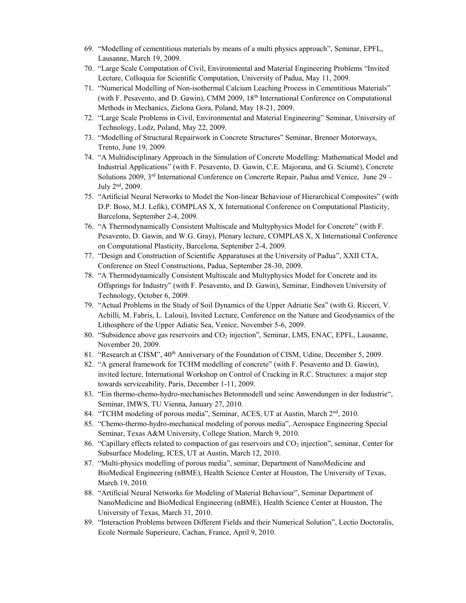- 69. "Modelling of cementitious materials by means of a multi physics approach", Seminar, EPFL, Lausanne, March 19, 2009.
- 70. "Large Scale Computation of Civil, Environmental and Material Engineering Problems "Invited Lecture, Colloquia for Scientific Computation, University of Padua, May 11, 2009.
- 71. "Numerical Modelling of Non-isothermal Calcium Leaching Process in Cementitious Materials" (with F. Pesavento, and D. Gawin), CMM 2009, 18th International Conference on Computational Methods in Mechanics, Zielona Gora, Poland, May 18-21, 2009.
- 72. "Large Scale Problems in Civil, Environmental and Material Engineering" Seminar, University of Technology, Lodz, Poland, May 22, 2009.
- 73. "Modelling of Structural Repairwork in Concrete Structures" Seminar, Brenner Motorways, Trento, June 19, 2009.
- 74. "A Multidisciplinary Approach in the Simulation of Concrete Modelling: Mathematical Model and Industrial Applications" (with F. Pesavento, D. Gawin, C.E. Majorana, and G. Sciumé), Concrete Solutions 2009,  $3<sup>rd</sup>$  International Conference on Concrerte Repair, Padua amd Venice, June 29 – July 2<sup>nd</sup>, 2009.
- 75. "Artificial Neural Networks to Model the Non-linear Behaviour of Hierarchical Composites" (with D.P. Boso, M.J. Lefik), COMPLAS X, X International Conference on Computational Plasticity, Barcelona, September 2-4, 2009.
- 76. "A Thermodynamically Consistent Multiscale and Multyphysics Model for Concrete" (with F. Pesavento, D. Gawin, and W.G. Gray), Plenary lecture, COMPLAS X, X International Conference on Computational Plasticity, Barcelona, September 2-4, 2009.
- 77. "Design and Construction of Scientific Apparatuses at the University of Padua", XXII CTA, Conference on Steel Constructions, Padua, September 28-30, 2009.
- 78. "A Thermodynamically Consistent Multiscale and Multyphysics Model for Concrete and its Offsprings for Industry" (with F. Pesavento, and D. Gawin), Seminar, Eindhoven University of Technology, October 6, 2009.
- 79. "Actual Problems in the Study of Soil Dynamics of the Upper Adriatic Sea" (with G. Ricceri, V. Achilli, M. Fabris, L. Laloui), Invited Lecture, Conference on the Nature and Geodynamics of the Lithosphere of the Upper Adiatic Sea, Venice, November 5-6, 2009.
- 80. "Subsidence above gas reservoirs and CO<sub>2</sub> injection", Seminar, LMS, ENAC, EPFL, Lausanne, November 20, 2009.
- 81. "Research at CISM",  $40<sup>th</sup>$  Anniversary of the Foundation of CISM, Udine, December 5, 2009.
- 82. "A general framework for TCHM modelling of concrete" (with F. Pesavento and D. Gawin), invited lecture, International Workshop on Control of Cracking in R.C. Structures: a major step towards serviceability, Paris, December 1-11, 2009.
- 83. "Ein thermo-chemo-hydro-mechanisches Betonmodell und seine Anwendungen in der Industrie", Seminar, IMWS, TU Vienna, January 27, 2010.
- 84. "TCHM modeling of porous media", Seminar, ACES, UT at Austin, March 2<sup>nd</sup>, 2010.
- 85. "Chemo-thermo-hydro-mechanical modeling of porous media", Aerospace Engineering Special Seminar, Texas A&M University, College Station, March 9, 2010.
- 86. "Capillary effects related to compaction of gas reservoirs and CO<sup>2</sup> injection", seminar, Center for Subsurface Modeling, ICES, UT at Austin, March 12, 2010.
- 87. "Multi-physics modelling of porous media", seminar, Department of NanoMedicine and BioMedical Engineering (nBME), Health Science Center at Houston, The University of Texas, March 19, 2010.
- 88. "Artificial Neural Networks for Modeling of Material Behaviour", Seminar Department of NanoMedicine and BioMedical Engineering (nBME), Health Science Center at Houston, The University of Texas, March 31, 2010.
- 89. "Interaction Problems between Different Fields and their Numerical Solution", Lectio Doctoralis, Ecole Normale Superieure, Cachan, France, April 9, 2010.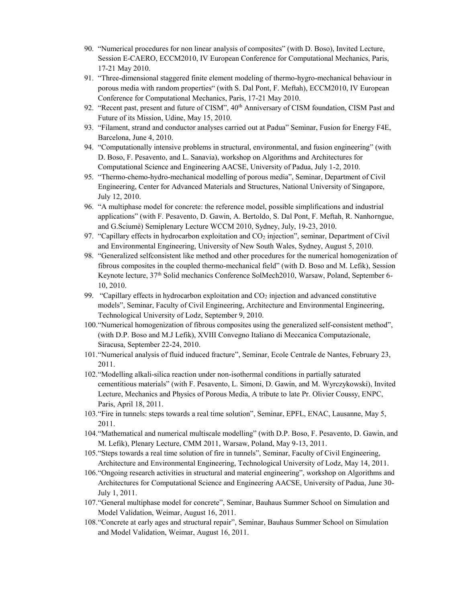- 90. "Numerical procedures for non linear analysis of composites" (with D. Boso), Invited Lecture, Session E-CAERO, ECCM2010, IV European Conference for Computational Mechanics, Paris, 17-21 May 2010.
- 91. "Three-dimensional staggered finite element modeling of thermo-hygro-mechanical behaviour in porous media with random properties" (with S. Dal Pont, F. Meftah), ECCM2010, IV European Conference for Computational Mechanics, Paris, 17-21 May 2010.
- 92. "Recent past, present and future of CISM",  $40<sup>th</sup>$  Anniversary of CISM foundation, CISM Past and Future of its Mission, Udine, May 15, 2010.
- 93. "Filament, strand and conductor analyses carried out at Padua" Seminar, Fusion for Energy F4E, Barcelona, June 4, 2010.
- 94. "Computationally intensive problems in structural, environmental, and fusion engineering" (with D. Boso, F. Pesavento, and L. Sanavia), workshop on Algorithms and Architectures for Computational Science and Engineering AACSE, University of Padua, July 1-2, 2010.
- 95. "Thermo-chemo-hydro-mechanical modelling of porous media", Seminar, Department of Civil Engineering, Center for Advanced Materials and Structures, National University of Singapore, July 12, 2010.
- 96. "A multiphase model for concrete: the reference model, possible simplifications and industrial applications" (with F. Pesavento, D. Gawin, A. Bertoldo, S. Dal Pont, F. Meftah, R. Nanhorngue, and G.Sciumè) Semiplenary Lecture WCCM 2010, Sydney, July, 19-23, 2010.
- 97. "Capillary effects in hydrocarbon exploitation and  $CO<sub>2</sub>$  injection", seminar, Department of Civil and Environmental Engineering, University of New South Wales, Sydney, August 5, 2010.
- 98. "Generalized selfconsistent like method and other procedures for the numerical homogenization of fibrous composites in the coupled thermo-mechanical field" (with D. Boso and M. Lefik), Session Keynote lecture, 37th Solid mechanics Conference SolMech2010, Warsaw, Poland, September 6- 10, 2010.
- 99. "Capillary effects in hydrocarbon exploitation and  $CO<sub>2</sub>$  injection and advanced constitutive models", Seminar, Faculty of Civil Engineering, Architecture and Environmental Engineering, Technological University of Lodz, September 9, 2010.
- 100."Numerical homogenization of fibrous composites using the generalized self-consistent method", (with D.P. Boso and M.J Lefik), XVIII Convegno Italiano di Meccanica Computazionale, Siracusa, September 22-24, 2010.
- 101."Numerical analysis of fluid induced fracture", Seminar, Ecole Centrale de Nantes, February 23, 2011.
- 102."Modelling alkali-silica reaction under non-isothermal conditions in partially saturated cementitious materials" (with F. Pesavento, L. Simoni, D. Gawin, and M. Wyrczykowski), Invited Lecture, Mechanics and Physics of Porous Media, A tribute to late Pr. Olivier Coussy, ENPC, Paris, April 18, 2011.
- 103."Fire in tunnels: steps towards a real time solution", Seminar, EPFL, ENAC, Lausanne, May 5, 2011.
- 104."Mathematical and numerical multiscale modelling" (with D.P. Boso, F. Pesavento, D. Gawin, and M. Lefik), Plenary Lecture, CMM 2011, Warsaw, Poland, May 9-13, 2011.
- 105."Steps towards a real time solution of fire in tunnels", Seminar, Faculty of Civil Engineering, Architecture and Environmental Engineering, Technological University of Lodz, May 14, 2011.
- 106."Ongoing research activities in structural and material engineering", workshop on Algorithms and Architectures for Computational Science and Engineering AACSE, University of Padua, June 30- July 1, 2011.
- 107."General multiphase model for concrete", Seminar, Bauhaus Summer School on Simulation and Model Validation, Weimar, August 16, 2011.
- 108."Concrete at early ages and structural repair", Seminar, Bauhaus Summer School on Simulation and Model Validation, Weimar, August 16, 2011.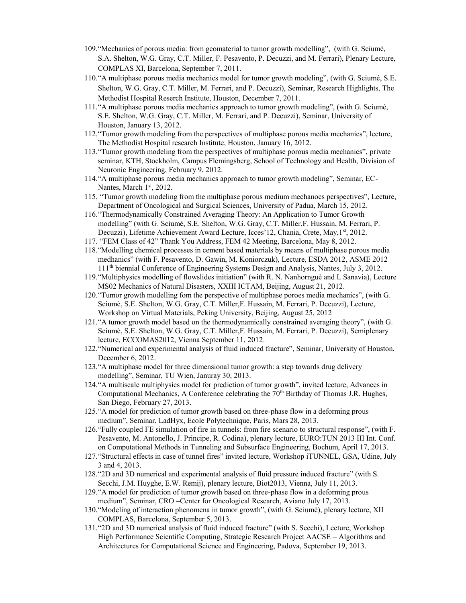- 109."Mechanics of porous media: from geomaterial to tumor growth modelling", (with G. Sciumè, S.A. Shelton, W.G. Gray, C.T. Miller, F. Pesavento, P. Decuzzi, and M. Ferrari), Plenary Lecture, COMPLAS XI, Barcelona, September 7, 2011.
- 110."A multiphase porous media mechanics model for tumor growth modeling", (with G. Sciumé, S.E. Shelton, W.G. Gray, C.T. Miller, M. Ferrari, and P. Decuzzi), Seminar, Research Highlights, The Methodist Hospital Reserch Institute, Houston, December 7, 2011.
- 111."A multiphase porous media mechanics approach to tumor growth modeling", (with G. Sciumé, S.E. Shelton, W.G. Gray, C.T. Miller, M. Ferrari, and P. Decuzzi), Seminar, University of Houston, January 13, 2012.
- 112."Tumor growth modeling from the perspectives of multiphase porous media mechanics", lecture, The Methodist Hospital research Institute, Houston, January 16, 2012.
- 113."Tumor growth modeling from the perspectives of multiphase porous media mechanics", private seminar, KTH, Stockholm, Campus Flemingsberg, School of Technology and Health, Division of Neuronic Engineering, February 9, 2012.
- 114."A multiphase porous media mechanics approach to tumor growth modeling", Seminar, EC-Nantes, March 1st, 2012.
- 115. "Tumor growth modeling from the multiphase porous medium mechanocs perspectives", Lecture, Department of Oncological and Surgical Sciences, University of Padua, March 15, 2012.
- 116."Thermodynamically Constrained Averaging Theory: An Application to Tumor Growth modelling" (with G. Sciumè, S.E. Shelton, W.G. Gray, C.T. Miller,F. Hussain, M. Ferrari, P. Decuzzi), Lifetime Achievement Award Lecture, Icces'12, Chania, Crete, May,1<sup>st</sup>, 2012.
- 117. "FEM Class of 42" Thank You Address, FEM 42 Meeting, Barcelona, May 8, 2012.
- 118."Modelling chemical processes in cement based materials by means of multiphase porous media medhanics" (with F. Pesavento, D. Gawin, M. Koniorczuk), Lecture, ESDA 2012, ASME 2012 111th biennial Conference of Engineering Systems Design and Analysis, Nantes, July 3, 2012.
- 119."Multiphysics modelling of flowslides initiation" (with R. N. Nanhornguè and L Sanavia), Lecture MS02 Mechanics of Natural Disasters, XXIII ICTAM, Beijing, August 21, 2012.
- 120."Tumor growth modelling fom the perspective of multiphase poroes media mechanics", (with G. Sciumè, S.E. Shelton, W.G. Gray, C.T. Miller,F. Hussain, M. Ferrari, P. Decuzzi), Lecture, Workshop on Virtual Materials, Peking University, Beijing, August 25, 2012
- 121."A tumor growth model based on the thermodynamically constrained averaging theory", (with G. Sciumè, S.E. Shelton, W.G. Gray, C.T. Miller,F. Hussain, M. Ferrari, P. Decuzzi), Semiplenary lecture, ECCOMAS2012, Vienna September 11, 2012.
- 122."Numerical and experimental analysis of fluid induced fracture", Seminar, University of Houston, December 6, 2012.
- 123."A multiphase model for three dimensional tumor growth: a step towards drug delivery modelling", Seminar, TU Wien, Januray 30, 2013.
- 124."A multiscale multiphysics model for prediction of tumor growth", invited lecture, Advances in Computational Mechanics, A Conference celebrating the  $70<sup>th</sup>$  Birthday of Thomas J.R. Hughes, San Diego, February 27, 2013.
- 125."A model for prediction of tumor growth based on three-phase flow in a deforming prous medium", Seminar, LadHyx, Ecole Polytechnique, Paris, Mars 28, 2013.
- 126."Fully coupled FE simulation of fire in tunnels: from fire scenario to structural response", (with F. Pesavento, M. Antonello, J. Principe, R. Codina), plenary lecture, EURO:TUN 2013 III Int. Conf. on Computational Methods in Tunneling and Subsurface Engineering, Bochum, April 17, 2013.
- 127."Structural effects in case of tunnel fires" invited lecture, Workshop iTUNNEL, GSA, Udine, July 3 and 4, 2013.
- 128."2D and 3D numerical and experimental analysis of fluid pressure induced fracture" (with S. Secchi, J.M. Huyghe, E.W. Remij), plenary lecture, Biot2013, Vienna, July 11, 2013.
- 129."A model for prediction of tumor growth based on three-phase flow in a deforming prous medium", Seminar, CRO –Center for Oncological Research, Aviano July 17, 2013.
- 130."Modeling of interaction phenomena in tumor growth", (with G. Sciumè), plenary lecture, XII COMPLAS, Barcelona, September 5, 2013.
- 131."2D and 3D numerical analysis of fluid induced fracture" (with S. Secchi), Lecture, Workshop High Performance Scientific Computing, Strategic Research Project AACSE – Algorithms and Architectures for Computational Science and Engineering, Padova, September 19, 2013.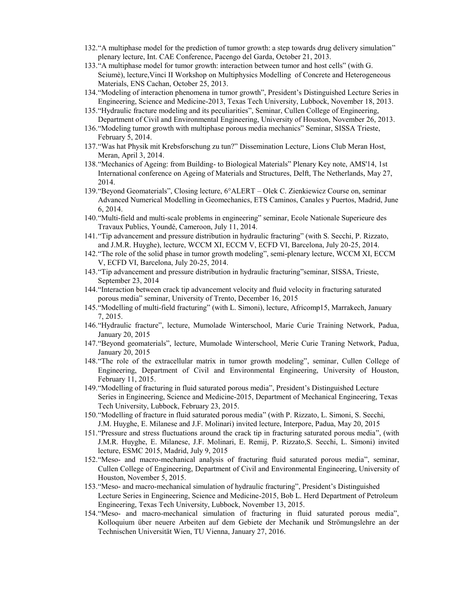- 132."A multiphase model for the prediction of tumor growth: a step towards drug delivery simulation" plenary lecture, Int. CAE Conference, Pacengo del Garda, October 21, 2013.
- 133."A multiphase model for tumor growth: interaction between tumor and host cells" (with G. Sciumè), lecture,Vinci II Workshop on Multiphysics Modelling of Concrete and Heterogeneous Materials, ENS Cachan, October 25, 2013.
- 134."Modeling of interaction phenomena in tumor growth", President's Distinguished Lecture Series in Engineering, Science and Medicine-2013, Texas Tech University, Lubbock, November 18, 2013.
- 135."Hydraulic fracture modeling and its peculiarities", Seminar, Cullen College of Engineering, Department of Civil and Environmental Engineering, University of Houston, November 26, 2013.
- 136."Modeling tumor growth with multiphase porous media mechanics" Seminar, SISSA Trieste, February 5, 2014.
- 137."Was hat Physik mit Krebsforschung zu tun?" Dissemination Lecture, Lions Club Meran Host, Meran, April 3, 2014.
- 138."Mechanics of Ageing: from Building- to Biological Materials" Plenary Key note, AMS'14, 1st International conference on Ageing of Materials and Structures, Delft, The Netherlands, May 27, 2014.
- 139."Beyond Geomaterials", Closing lecture, 6°ALERT Olek C. Zienkiewicz Course on, seminar Advanced Numerical Modelling in Geomechanics, ETS Caminos, Canales y Puertos, Madrid, June 6, 2014.
- 140."Multi-field and multi-scale problems in engineering" seminar, Ecole Nationale Superieure des Travaux Publics, Youndé, Cameroon, July 11, 2014.
- 141."Tip advancement and pressure distribution in hydraulic fracturing" (with S. Secchi, P. Rizzato, and J.M.R. Huyghe), lecture, WCCM XI, ECCM V, ECFD VI, Barcelona, July 20-25, 2014.
- 142."The role of the solid phase in tumor growth modeling", semi-plenary lecture, WCCM XI, ECCM V, ECFD VI, Barcelona, July 20-25, 2014.
- 143."Tip advancement and pressure distribution in hydraulic fracturing"seminar, SISSA, Trieste, September 23, 2014
- 144."Interaction between crack tip advancement velocity and fluid velocity in fracturing saturated porous media" seminar, University of Trento, December 16, 2015
- 145."Modelling of multi-field fracturing" (with L. Simoni), lecture, Africomp15, Marrakech, January 7, 2015.
- 146."Hydraulic fracture", lecture, Mumolade Winterschool, Marie Curie Training Network, Padua, January 20, 2015
- 147."Beyond geomaterials", lecture, Mumolade Winterschool, Merie Curie Traning Network, Padua, January 20, 2015
- 148."The role of the extracellular matrix in tumor growth modeling", seminar, Cullen College of Engineering, Department of Civil and Environmental Engineering, University of Houston, February 11, 2015.
- 149."Modelling of fracturing in fluid saturated porous media", President's Distinguished Lecture Series in Engineering, Science and Medicine-2015, Department of Mechanical Engineering, Texas Tech University, Lubbock, February 23, 2015.
- 150."Modelling of fracture in fluid saturated porous media" (with P. Rizzato, L. Simoni, S. Secchi, J.M. Huyghe, E. Milanese and J.F. Molinari) invited lecture, Interpore, Padua, May 20, 2015
- 151."Pressure and stress fluctuations around the crack tip in fracturing saturated porous media", (with J.M.R. Huyghe, E. Milanese, J.F. Molinari, E. Remij, P. Rizzato,S. Secchi, L. Simoni) invited lecture, ESMC 2015, Madrid, July 9, 2015
- 152."Meso- and macro-mechanical analysis of fracturing fluid saturated porous media", seminar, Cullen College of Engineering, Department of Civil and Environmental Engineering, University of Houston, November 5, 2015.
- 153."Meso- and macro-mechanical simulation of hydraulic fracturing", President's Distinguished Lecture Series in Engineering, Science and Medicine-2015, Bob L. Herd Department of Petroleum Engineering, Texas Tech University, Lubbock, November 13, 2015.
- 154."Meso- and macro-mechanical simulation of fracturing in fluid saturated porous media", Kolloquium über neuere Arbeiten auf dem Gebiete der Mechanik und Strömungslehre an der Technischen Universität Wien, TU Vienna, January 27, 2016.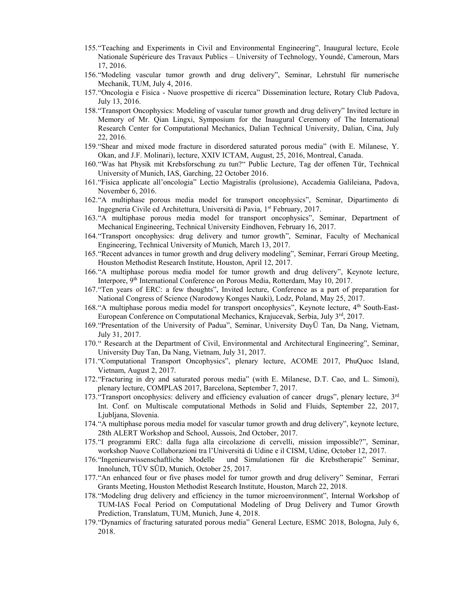- 155."Teaching and Experiments in Civil and Environmental Engineering", Inaugural lecture, Ecole Nationale Supérieure des Travaux Publics – University of Technology, Youndé, Cameroun, Mars 17, 2016.
- 156."Modeling vascular tumor growth and drug delivery", Seminar, Lehrstuhl für numerische Mechanik, TUM, July 4, 2016.
- 157."Oncologia e Fisica Nuove prospettive di ricerca" Dissemination lecture, Rotary Club Padova, July 13, 2016.
- 158."Transport Oncophysics: Modeling of vascular tumor growth and drug delivery" Invited lecture in Memory of Mr. Qian Lingxi, Symposium for the Inaugural Ceremony of The International Research Center for Computational Mechanics, Dalian Technical University, Dalian, Cina, July 22, 2016.
- 159."Shear and mixed mode fracture in disordered saturated porous media" (with E. Milanese, Y. Okan, and J.F. Molinari), lecture, XXIV ICTAM, August, 25, 2016, Montreal, Canada.
- 160."Was hat Physik mit Krebsforschung zu tun?" Public Lecture, Tag der offenen Tür, Technical University of Munich, IAS, Garching, 22 October 2016.
- 161."Fisica applicate all'oncologia" Lectio Magistralis (prolusione), Accademia Galileiana, Padova, November 6, 2016.
- 162."A multiphase porous media model for transport oncophysics", Seminar, Dipartimento di Ingegneria Civile ed Architettura, Università di Pavia, 1<sup>st</sup> February, 2017.
- 163."A multiphase porous media model for transport oncophysics", Seminar, Department of Mechanical Engineering, Technical University Eindhoven, February 16, 2017.
- 164."Transport oncophysics: drug delivery and tumor growth", Seminar, Faculty of Mechanical Engineering, Technical University of Munich, March 13, 2017.
- 165."Recent advances in tumor growth and drug delivery modeling", Seminar, Ferrari Group Meeting, Houston Methodist Research Institute, Houston, April 12, 2017.
- 166."A multiphase porous media model for tumor growth and drug delivery", Keynote lecture, Interpore, 9th International Conference on Porous Media, Rotterdam, May 10, 2017.
- 167."Ten years of ERC: a few thoughts", Invited lecture, Conference as a part of preparation for National Congress of Science (Narodowy Konges Nauki), Lodz, Poland, May 25, 2017.
- 168."A multiphase porous media model for transport oncophysics", Keynote lecture, 4th South-East-European Conference on Computational Mechanics, Krajucevak, Serbia, July 3rd, 2017.
- 169."Presentation of the University of Padua", Seminar, University DuyÜ Tan, Da Nang, Vietnam, July 31, 2017.
- 170." Research at the Department of Civil, Environmental and Architectural Engineering", Seminar, University Duy Tan, Da Nang, Vietnam, July 31, 2017.
- 171."Computational Transport Oncophysics", plenary lecture, ACOME 2017, PhuQuoc Island, Vietnam, August 2, 2017.
- 172."Fracturing in dry and saturated porous media" (with E. Milanese, D.T. Cao, and L. Simoni), plenary lecture, COMPLAS 2017, Barcelona, September 7, 2017.
- 173."Transport oncophysics: delivery and efficiency evaluation of cancer drugs", plenary lecture, 3rd Int. Conf. on Multiscale computational Methods in Solid and Fluids, September 22, 2017, Ljubljana, Slovenia.
- 174."A multiphase porous media model for vascular tumor growth and drug delivery", keynote lecture, 28th ALERT Workshop and School, Aussois, 2nd October, 2017.
- 175."I programmi ERC: dalla fuga alla circolazione di cervelli, mission impossible?", Seminar, workshop Nuove Collaborazioni tra l'Università di Udine e il CISM, Udine, October 12, 2017.
- 176."Ingenieurwissenschaftliche Modelle und Simulationen für die Krebstherapie" Seminar, Innolunch, TÜV SÜD, Munich, October 25, 2017.
- 177."An enhanced four or five phases model for tumor growth and drug delivery" Seminar, Ferrari Grants Meeting, Houston Methodist Research Institute, Houston, March 22, 2018.
- 178."Modeling drug delivery and efficiency in the tumor microenvironment", Internal Workshop of TUM-IAS Focal Period on Computational Modeling of Drug Delivery and Tumor Growth Prediction, Translatum, TUM, Munich, June 4, 2018.
- 179."Dynamics of fracturing saturated porous media" General Lecture, ESMC 2018, Bologna, July 6, 2018.